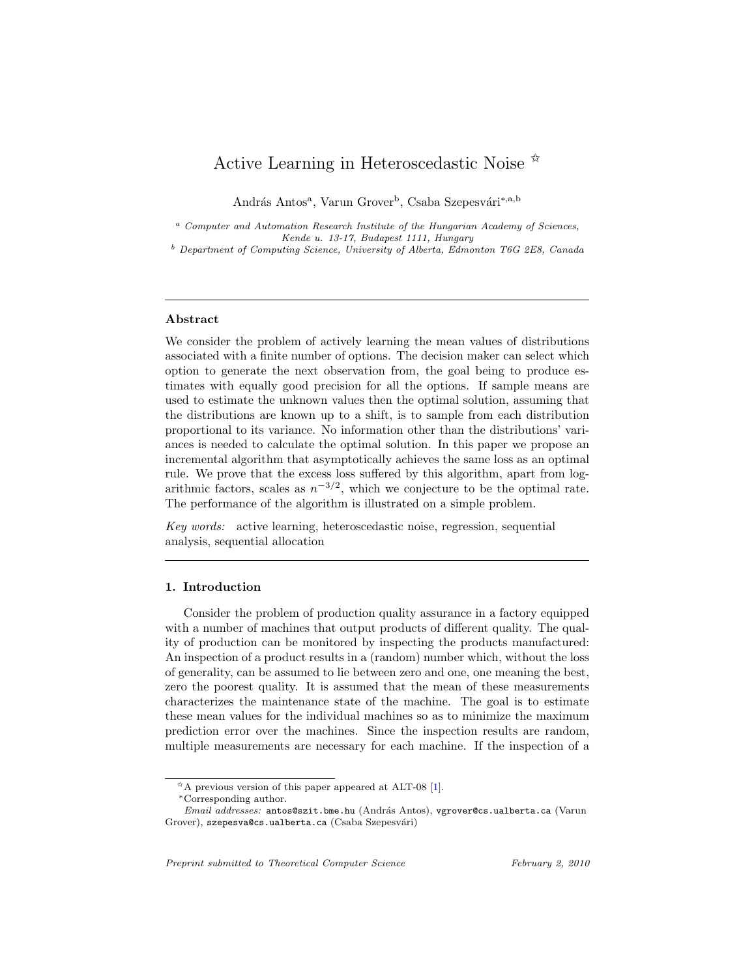# Active Learning in Heteroscedastic Noise  $\mathbb{\hat{R}}$

András Antos<sup>a</sup>, Varun Grover<sup>b</sup>, Csaba Szepesvári<sup>∗,a,b</sup>

<sup>a</sup> Computer and Automation Research Institute of the Hungarian Academy of Sciences, Kende u. 13-17, Budapest 1111, Hungary

<sup>b</sup> Department of Computing Science, University of Alberta, Edmonton T6G 2E8, Canada

# Abstract

We consider the problem of actively learning the mean values of distributions associated with a finite number of options. The decision maker can select which option to generate the next observation from, the goal being to produce estimates with equally good precision for all the options. If sample means are used to estimate the unknown values then the optimal solution, assuming that the distributions are known up to a shift, is to sample from each distribution proportional to its variance. No information other than the distributions' variances is needed to calculate the optimal solution. In this paper we propose an incremental algorithm that asymptotically achieves the same loss as an optimal rule. We prove that the excess loss suffered by this algorithm, apart from logarithmic factors, scales as  $n^{-3/2}$ , which we conjecture to be the optimal rate. The performance of the algorithm is illustrated on a simple problem.

Key words: active learning, heteroscedastic noise, regression, sequential analysis, sequential allocation

# 1. Introduction

Consider the problem of production quality assurance in a factory equipped with a number of machines that output products of different quality. The quality of production can be monitored by inspecting the products manufactured: An inspection of a product results in a (random) number which, without the loss of generality, can be assumed to lie between zero and one, one meaning the best, zero the poorest quality. It is assumed that the mean of these measurements characterizes the maintenance state of the machine. The goal is to estimate these mean values for the individual machines so as to minimize the maximum prediction error over the machines. Since the inspection results are random, multiple measurements are necessary for each machine. If the inspection of a

 $* A$  previous version of this paper appeared at ALT-08 [\[1\]](#page-25-0).

<sup>∗</sup>Corresponding author.

Email addresses: antos@szit.bme.hu (András Antos), vgrover@cs.ualberta.ca (Varun Grover), szepesva@cs.ualberta.ca (Csaba Szepesvári)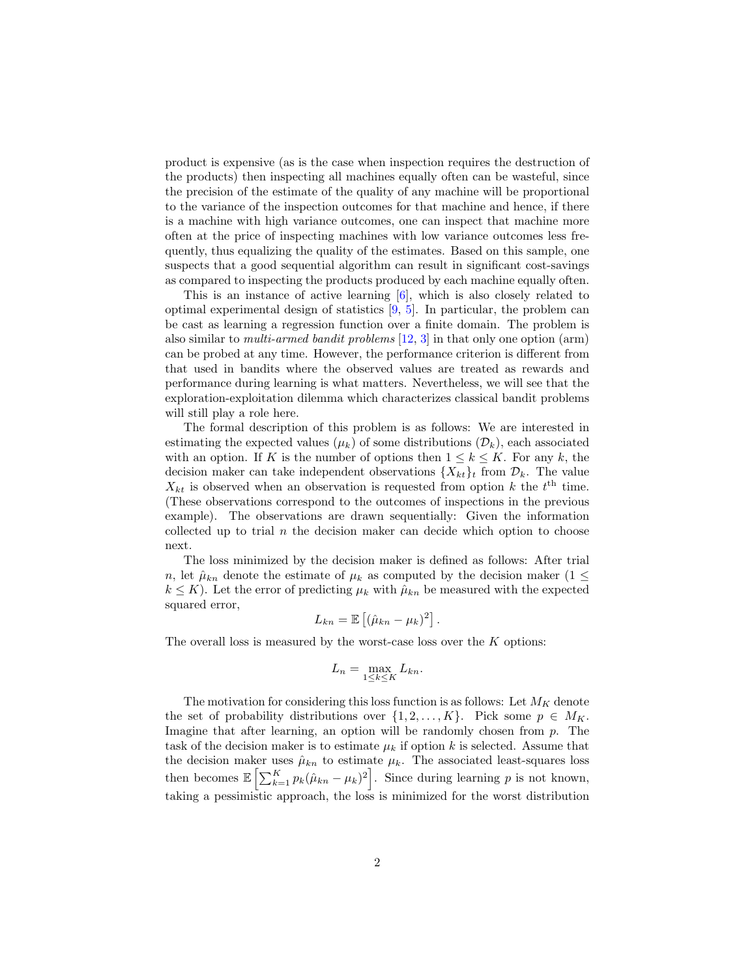product is expensive (as is the case when inspection requires the destruction of the products) then inspecting all machines equally often can be wasteful, since the precision of the estimate of the quality of any machine will be proportional to the variance of the inspection outcomes for that machine and hence, if there is a machine with high variance outcomes, one can inspect that machine more often at the price of inspecting machines with low variance outcomes less frequently, thus equalizing the quality of the estimates. Based on this sample, one suspects that a good sequential algorithm can result in significant cost-savings as compared to inspecting the products produced by each machine equally often.

This is an instance of active learning [\[6\]](#page-26-0), which is also closely related to optimal experimental design of statistics [\[9,](#page-26-1) [5\]](#page-26-2). In particular, the problem can be cast as learning a regression function over a finite domain. The problem is also similar to multi-armed bandit problems [\[12,](#page-26-3) [3\]](#page-25-1) in that only one option (arm) can be probed at any time. However, the performance criterion is different from that used in bandits where the observed values are treated as rewards and performance during learning is what matters. Nevertheless, we will see that the exploration-exploitation dilemma which characterizes classical bandit problems will still play a role here.

The formal description of this problem is as follows: We are interested in estimating the expected values ( $\mu_k$ ) of some distributions ( $\mathcal{D}_k$ ), each associated with an option. If K is the number of options then  $1 \leq k \leq K$ . For any k, the decision maker can take independent observations  $\{X_{kt}\}_t$  from  $\mathcal{D}_k$ . The value  $X_{kt}$  is observed when an observation is requested from option k the  $t<sup>th</sup>$  time. (These observations correspond to the outcomes of inspections in the previous example). The observations are drawn sequentially: Given the information collected up to trial  $n$  the decision maker can decide which option to choose next.

The loss minimized by the decision maker is defined as follows: After trial n, let  $\hat{\mu}_{kn}$  denote the estimate of  $\mu_k$  as computed by the decision maker  $(1 \leq$  $k \leq K$ ). Let the error of predicting  $\mu_k$  with  $\hat{\mu}_{kn}$  be measured with the expected squared error,

$$
L_{kn} = \mathbb{E}\left[ (\hat{\mu}_{kn} - \mu_k)^2 \right].
$$

The overall loss is measured by the worst-case loss over the  $K$  options:

$$
L_n = \max_{1 \le k \le K} L_{kn}.
$$

The motivation for considering this loss function is as follows: Let  $M_K$  denote the set of probability distributions over  $\{1, 2, \ldots, K\}$ . Pick some  $p \in M_K$ . Imagine that after learning, an option will be randomly chosen from  $p$ . The task of the decision maker is to estimate  $\mu_k$  if option k is selected. Assume that the decision maker uses  $\hat{\mu}_{kn}$  to estimate  $\mu_k$ . The associated least-squares loss then becomes  $\mathbb{E}\left[\sum_{k=1}^K p_k(\hat{\mu}_{kn} - \mu_k)^2\right]$ . Since during learning p is not known, taking a pessimistic approach, the loss is minimized for the worst distribution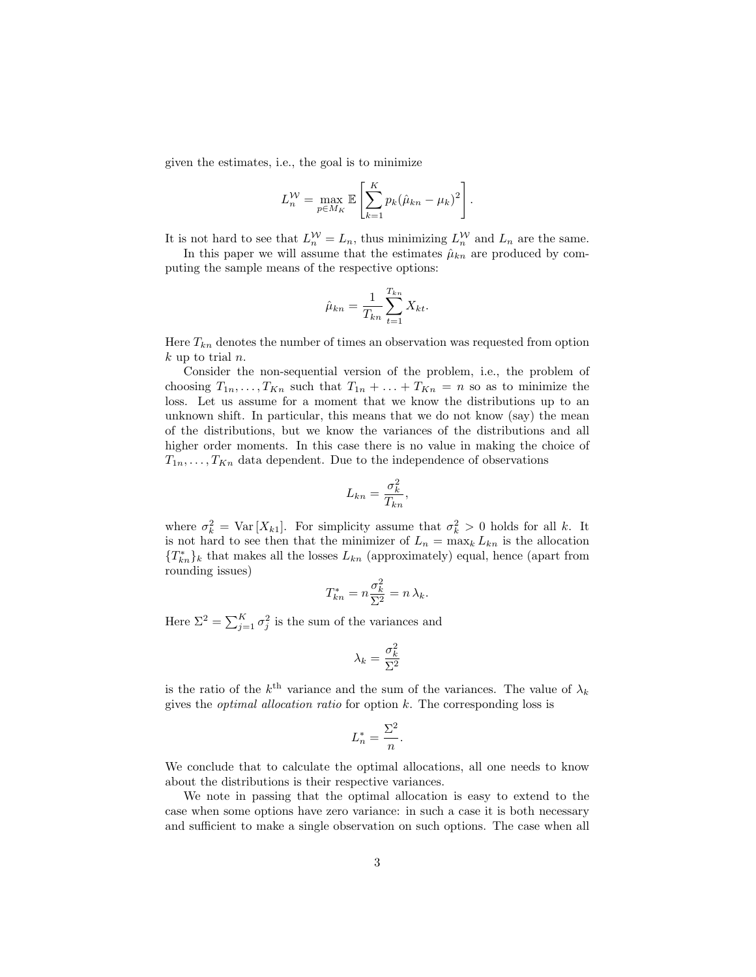given the estimates, i.e., the goal is to minimize

$$
L_n^{\mathcal{W}} = \max_{p \in M_K} \mathbb{E} \left[ \sum_{k=1}^K p_k (\hat{\mu}_{kn} - \mu_k)^2 \right].
$$

It is not hard to see that  $L_n^{\mathcal{W}} = L_n$ , thus minimizing  $L_n^{\mathcal{W}}$  and  $L_n$  are the same.

In this paper we will assume that the estimates  $\hat{\mu}_{kn}$  are produced by computing the sample means of the respective options:

$$
\hat{\mu}_{kn} = \frac{1}{T_{kn}} \sum_{t=1}^{T_{kn}} X_{kt}.
$$

Here  $T_{kn}$  denotes the number of times an observation was requested from option  $k$  up to trial  $n$ .

Consider the non-sequential version of the problem, i.e., the problem of choosing  $T_{1n}, \ldots, T_{Kn}$  such that  $T_{1n} + \ldots + T_{Kn} = n$  so as to minimize the loss. Let us assume for a moment that we know the distributions up to an unknown shift. In particular, this means that we do not know (say) the mean of the distributions, but we know the variances of the distributions and all higher order moments. In this case there is no value in making the choice of  $T_{1n}, \ldots, T_{Kn}$  data dependent. Due to the independence of observations

$$
L_{kn} = \frac{\sigma_k^2}{T_{kn}},
$$

where  $\sigma_k^2 = \text{Var}[X_{k1}]$ . For simplicity assume that  $\sigma_k^2 > 0$  holds for all k. It is not hard to see then that the minimizer of  $L_n = \max_k L_{kn}$  is the allocation  ${T_{kn}^*}_k$  that makes all the losses  $L_{kn}$  (approximately) equal, hence (apart from rounding issues)

$$
T_{kn}^* = n \frac{\sigma_k^2}{\Sigma^2} = n \lambda_k.
$$

Here  $\Sigma^2 = \sum_{j=1}^K \sigma_j^2$  is the sum of the variances and

$$
\lambda_k = \frac{\sigma_k^2}{\Sigma^2}
$$

is the ratio of the  $k^{\text{th}}$  variance and the sum of the variances. The value of  $\lambda_k$ gives the *optimal allocation ratio* for option  $k$ . The corresponding loss is

$$
L_n^* = \frac{\Sigma^2}{n}.
$$

We conclude that to calculate the optimal allocations, all one needs to know about the distributions is their respective variances.

We note in passing that the optimal allocation is easy to extend to the case when some options have zero variance: in such a case it is both necessary and sufficient to make a single observation on such options. The case when all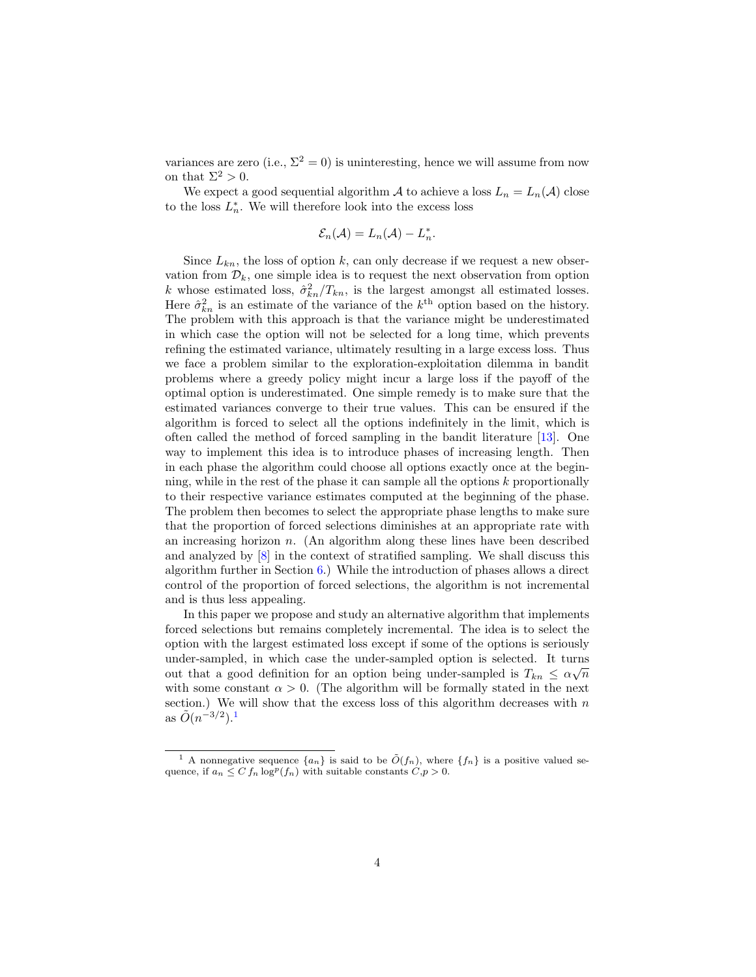variances are zero (i.e.,  $\Sigma^2 = 0$ ) is uninteresting, hence we will assume from now on that  $\Sigma^2 > 0$ .

We expect a good sequential algorithm A to achieve a loss  $L_n = L_n(\mathcal{A})$  close to the loss  $L_n^*$ . We will therefore look into the excess loss

$$
\mathcal{E}_n(\mathcal{A})=L_n(\mathcal{A})-L_n^*.
$$

Since  $L_{kn}$ , the loss of option k, can only decrease if we request a new observation from  $\mathcal{D}_k$ , one simple idea is to request the next observation from option k whose estimated loss,  $\hat{\sigma}_{kn}^2/T_{kn}$ , is the largest amongst all estimated losses. Here  $\hat{\sigma}_{kn}^2$  is an estimate of the variance of the  $k^{\text{th}}$  option based on the history. The problem with this approach is that the variance might be underestimated in which case the option will not be selected for a long time, which prevents refining the estimated variance, ultimately resulting in a large excess loss. Thus we face a problem similar to the exploration-exploitation dilemma in bandit problems where a greedy policy might incur a large loss if the payoff of the optimal option is underestimated. One simple remedy is to make sure that the estimated variances converge to their true values. This can be ensured if the algorithm is forced to select all the options indefinitely in the limit, which is often called the method of forced sampling in the bandit literature [\[13\]](#page-26-4). One way to implement this idea is to introduce phases of increasing length. Then in each phase the algorithm could choose all options exactly once at the beginning, while in the rest of the phase it can sample all the options  $k$  proportionally to their respective variance estimates computed at the beginning of the phase. The problem then becomes to select the appropriate phase lengths to make sure that the proportion of forced selections diminishes at an appropriate rate with an increasing horizon  $n$ . (An algorithm along these lines have been described and analyzed by [\[8\]](#page-26-5) in the context of stratified sampling. We shall discuss this algorithm further in Section [6.](#page-20-0)) While the introduction of phases allows a direct control of the proportion of forced selections, the algorithm is not incremental and is thus less appealing.

In this paper we propose and study an alternative algorithm that implements forced selections but remains completely incremental. The idea is to select the option with the largest estimated loss except if some of the options is seriously under-sampled, in which case the under-sampled option is selected. It turns out that a good definition for an option being under-sampled is  $T_{kn} \leq \alpha \sqrt{n}$ with some constant  $\alpha > 0$ . (The algorithm will be formally stated in the next section.) We will show that the excess loss of this algorithm decreases with  $n$ as  $\tilde{O}(n^{-3/2})$ .<sup>[1](#page-3-0)</sup>

<span id="page-3-0"></span><sup>&</sup>lt;sup>1</sup> A nonnegative sequence  $\{a_n\}$  is said to be  $\tilde{O}(f_n)$ , where  $\{f_n\}$  is a positive valued sequence, if  $a_n \leq C f_n \log^p(f_n)$  with suitable constants  $C, p > 0$ .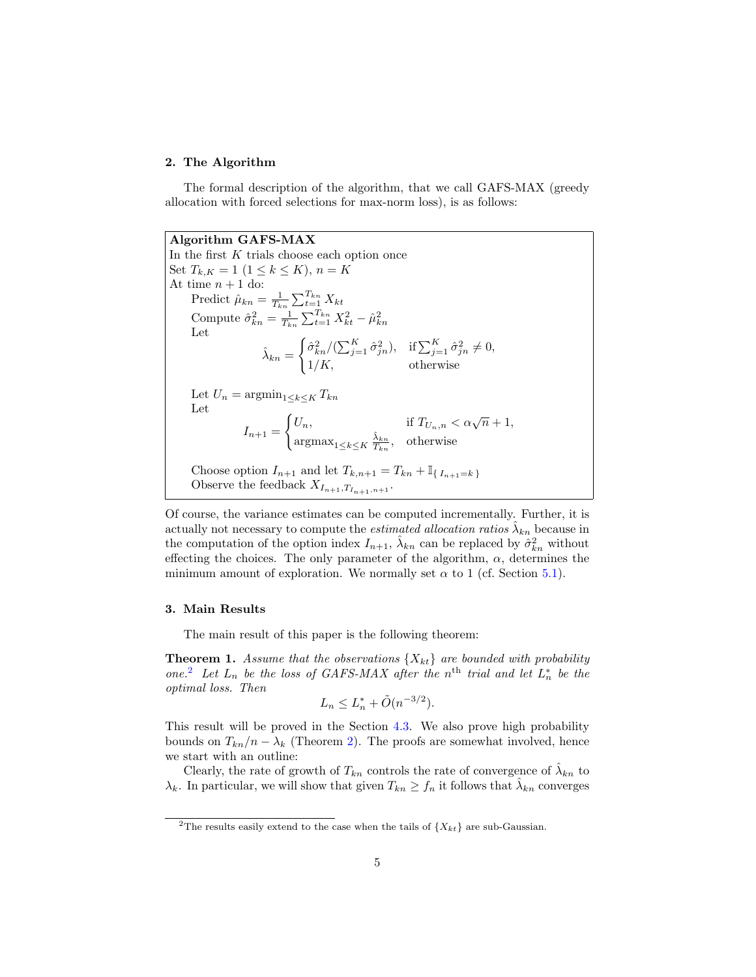# 2. The Algorithm

The formal description of the algorithm, that we call GAFS-MAX (greedy allocation with forced selections for max-norm loss), is as follows:

Algorithm GAFS-MAX In the first  $K$  trials choose each option once Set  $T_{k,K} = 1 \ (1 \leq k \leq K), n = K$ At time  $n + 1$  do: Predict  $\hat{\mu}_{kn} = \frac{1}{T_{kn}} \sum_{t=1}^{T_{kn}} X_{kt}$ Compute  $\hat{\sigma}_{kn}^2 = \frac{1}{T_{kn}} \sum_{t=1}^{T_{kn}} X_{kt}^2 - \hat{\mu}_{kn}^2$ Let  $\hat{\lambda}_{kn} =$  $\int \hat{\sigma}_{kn}^2 / (\sum_{j=1}^K \hat{\sigma}_{jn}^2), \text{ if } \sum_{j=1}^K \hat{\sigma}_{jn}^2 \neq 0,$  $1/K$ , otherwise Let  $U_n = \operatorname{argmin}_{1 \leq k \leq K} T_{kn}$ Let  $I_{n+1} =$  $\int U_n$ , if  $T_{U_n,n} < \alpha \sqrt{n} + 1$ ,  $\operatorname{argmax}_{1 \leq k \leq K} \frac{\hat{\lambda}_{kn}}{T_{kn}}, \quad \text{otherwise}$ Choose option  $I_{n+1}$  and let  $T_{k,n+1} = T_{kn} + I_{\{I_{n+1}=k\}}$ Observe the feedback  $X_{I_{n+1},T_{I_{n+1},n+1}}$ .

Of course, the variance estimates can be computed incrementally. Further, it is actually not necessary to compute the *estimated allocation ratios*  $\hat{\lambda}_{kn}$  because in the computation of the option index  $I_{n+1}$ ,  $\hat{\lambda}_{kn}$  can be replaced by  $\hat{\sigma}_{kn}^2$  without effecting the choices. The only parameter of the algorithm,  $\alpha$ , determines the minimum amount of exploration. We normally set  $\alpha$  to 1 (cf. Section [5.1\)](#page-17-0).

## 3. Main Results

The main result of this paper is the following theorem:

**Theorem 1.** Assume that the observations  $\{X_{kt}\}\$ are bounded with probability one.<sup>[2](#page-4-0)</sup> Let  $L_n$  be the loss of GAFS-MAX after the n<sup>th</sup> trial and let  $L_n^*$  be the optimal loss. Then

<span id="page-4-1"></span>
$$
L_n \le L_n^* + \tilde{O}(n^{-3/2}).
$$

This result will be proved in the Section [4.3.](#page-16-0) We also prove high probability bounds on  $T_{kn}/n - \lambda_k$  (Theorem [2\)](#page-13-0). The proofs are somewhat involved, hence we start with an outline:

Clearly, the rate of growth of  $T_{kn}$  controls the rate of convergence of  $\hat{\lambda}_{kn}$  to  $\lambda_k$ . In particular, we will show that given  $T_{kn} \ge f_n$  it follows that  $\hat{\lambda}_{kn}$  converges

<span id="page-4-0"></span><sup>&</sup>lt;sup>2</sup>The results easily extend to the case when the tails of  $\{X_{kt}\}$  are sub-Gaussian.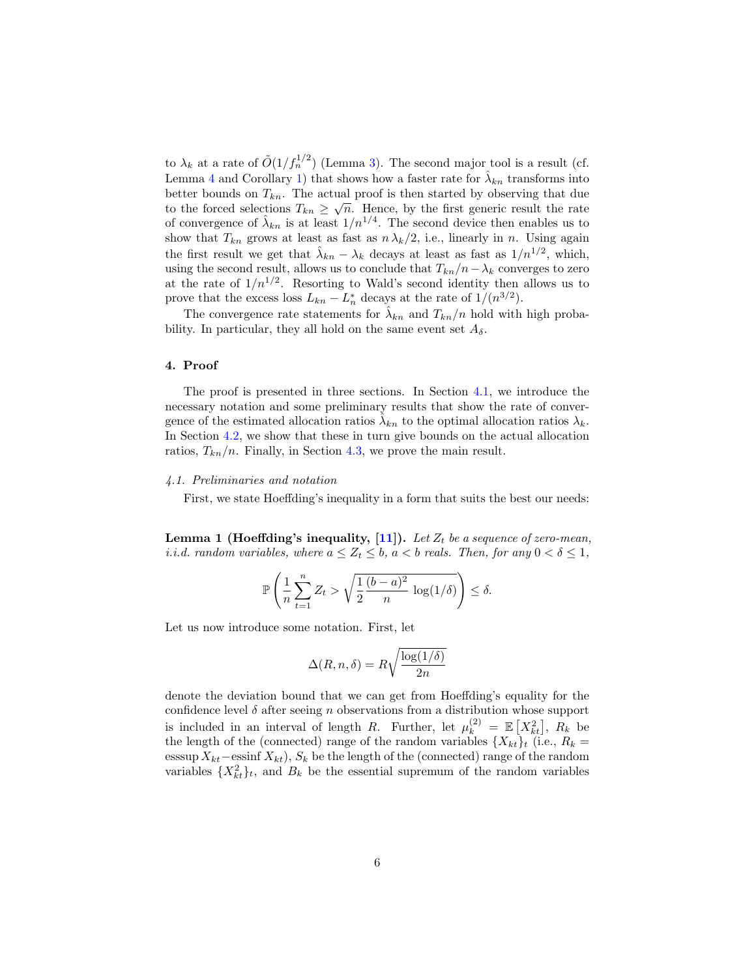to  $\lambda_k$  at a rate of  $\tilde{O}(1/f_n^{1/2})$  (Lemma [3\)](#page-7-0). The second major tool is a result (cf. Lemma [4](#page-9-0) and Corollary [1\)](#page-11-0) that shows how a faster rate for  $\hat{\lambda}_{kn}$  transforms into better bounds on  $T_{kn}$ . The actual proof is then started by observing that due to the forced selections  $T_{kn} \geq \sqrt{n}$ . Hence, by the first generic result the rate of convergence of  $\hat{\lambda}_{kn}$  is at least  $1/n^{1/4}$ . The second device then enables us to show that  $T_{kn}$  grows at least as fast as  $n \lambda_k/2$ , i.e., linearly in n. Using again the first result we get that  $\hat{\lambda}_{kn} - \lambda_k$  decays at least as fast as  $1/n^{1/2}$ , which, using the second result, allows us to conclude that  $T_{kn}/n-\lambda_k$  converges to zero at the rate of  $1/n^{1/2}$ . Resorting to Wald's second identity then allows us to prove that the excess loss  $L_{kn} - L_n^*$  decays at the rate of  $1/(n^{3/2})$ .

The convergence rate statements for  $\hat{\lambda}_{kn}$  and  $T_{kn}/n$  hold with high probability. In particular, they all hold on the same event set  $A_{\delta}$ .

## 4. Proof

The proof is presented in three sections. In Section [4.1,](#page-5-0) we introduce the necessary notation and some preliminary results that show the rate of convergence of the estimated allocation ratios  $\hat{\lambda}_{kn}$  to the optimal allocation ratios  $\lambda_k$ . In Section [4.2,](#page-9-1) we show that these in turn give bounds on the actual allocation ratios,  $T_{kn}/n$ . Finally, in Section [4.3,](#page-16-0) we prove the main result.

## <span id="page-5-0"></span>4.1. Preliminaries and notation

First, we state Hoeffding's inequality in a form that suits the best our needs:

**Lemma 1 (Hoeffding's inequality, [\[11\]](#page-26-6)).** Let  $Z_t$  be a sequence of zero-mean, *i.i.d.* random variables, where  $a \leq Z_t \leq b$ ,  $a < b$  reals. Then, for any  $0 < \delta \leq 1$ ,

$$
\mathbb{P}\left(\frac{1}{n}\sum_{t=1}^n Z_t > \sqrt{\frac{1}{2}\frac{(b-a)^2}{n}\log(1/\delta)}\right) \le \delta.
$$

Let us now introduce some notation. First, let

$$
\Delta(R, n, \delta) = R \sqrt{\frac{\log(1/\delta)}{2n}}
$$

denote the deviation bound that we can get from Hoeffding's equality for the confidence level  $\delta$  after seeing n observations from a distribution whose support is included in an interval of length R. Further, let  $\mu_k^{(2)} = \mathbb{E}\left[X_{kt}^2\right], R_k$  be the length of the (connected) range of the random variables  $\{X_{kt}\}\$ t (i.e.,  $R_k =$ esssup  $X_{kt}$  –essinf  $X_{kt}$ ),  $S_k$  be the length of the (connected) range of the random variables  $\{X_{kt}^2\}_t$ , and  $B_k$  be the essential supremum of the random variables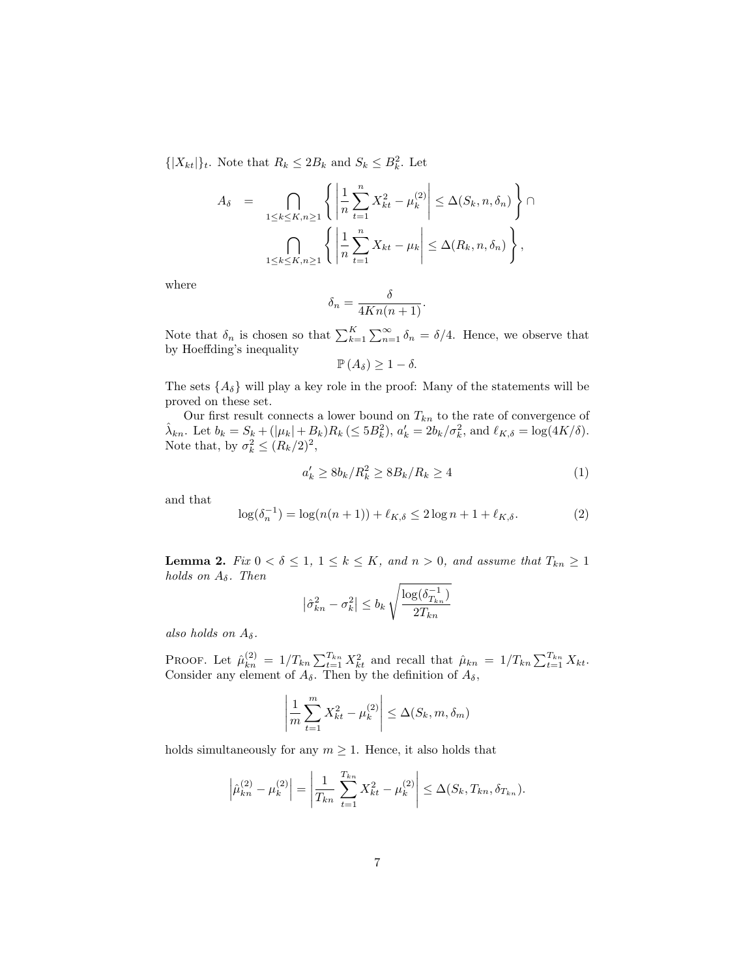$\{|X_{kt}|\}_t$ . Note that  $R_k \leq 2B_k$  and  $S_k \leq B_k^2$ . Let

$$
A_{\delta} = \bigcap_{1 \leq k \leq K, n \geq 1} \left\{ \left| \frac{1}{n} \sum_{t=1}^{n} X_{kt}^{2} - \mu_{k}^{(2)} \right| \leq \Delta(S_{k}, n, \delta_{n}) \right\} \cap \bigcap_{1 \leq k \leq K, n \geq 1} \left\{ \left| \frac{1}{n} \sum_{t=1}^{n} X_{kt} - \mu_{k} \right| \leq \Delta(R_{k}, n, \delta_{n}) \right\},
$$

where

$$
\delta_n = \frac{\delta}{4Kn(n+1)}.
$$

Note that  $\delta_n$  is chosen so that  $\sum_{k=1}^K \sum_{n=1}^{\infty} \delta_n = \delta/4$ . Hence, we observe that by Hoeffding's inequality

$$
\mathbb{P}\left(A_{\delta}\right)\geq1-\delta.
$$

The sets  $\{A_{\delta}\}\$  will play a key role in the proof: Many of the statements will be proved on these set.

Our first result connects a lower bound on  $T_{kn}$  to the rate of convergence of  $\hat{\lambda}_{kn}$ . Let  $b_k = S_k + (|\mu_k| + B_k)R_k \leq 5B_k^2$ ,  $a'_k = 2b_k/\sigma_k^2$ , and  $\ell_{K,\delta} = \log(4K/\delta)$ . Note that, by  $\sigma_k^2 \leq (R_k/2)^2$ ,

<span id="page-6-0"></span>
$$
a'_k \ge 8b_k/R_k^2 \ge 8B_k/R_k \ge 4\tag{1}
$$

and that

<span id="page-6-2"></span>
$$
\log(\delta_n^{-1}) = \log(n(n+1)) + \ell_{K,\delta} \le 2\log n + 1 + \ell_{K,\delta}.
$$
 (2)

<span id="page-6-1"></span>**Lemma 2.** Fix  $0 < \delta \leq 1$ ,  $1 \leq k \leq K$ , and  $n > 0$ , and assume that  $T_{kn} \geq 1$ holds on  $A_\delta$ . Then

$$
\left|\hat{\sigma}_{kn}^2 - \sigma_k^2\right| \le b_k \sqrt{\frac{\log(\delta_{T_{kn}}^{-1})}{2T_{kn}}}
$$

also holds on  $A_\delta$ .

PROOF. Let  $\hat{\mu}_{kn}^{(2)} = 1/T_{kn} \sum_{t=1}^{T_{kn}} X_{kt}^2$  and recall that  $\hat{\mu}_{kn} = 1/T_{kn} \sum_{t=1}^{T_{kn}} X_{kt}$ . Consider any element of  $A_{\delta}$ . Then by the definition of  $A_{\delta}$ ,

$$
\left| \frac{1}{m} \sum_{t=1}^{m} X_{kt}^{2} - \mu_{k}^{(2)} \right| \leq \Delta(S_{k}, m, \delta_{m})
$$

holds simultaneously for any  $m \geq 1$ . Hence, it also holds that

$$
\left|\hat{\mu}_{kn}^{(2)} - \mu_k^{(2)}\right| = \left|\frac{1}{T_{kn}} \sum_{t=1}^{T_{kn}} X_{kt}^2 - \mu_k^{(2)}\right| \leq \Delta(S_k, T_{kn}, \delta_{T_{kn}}).
$$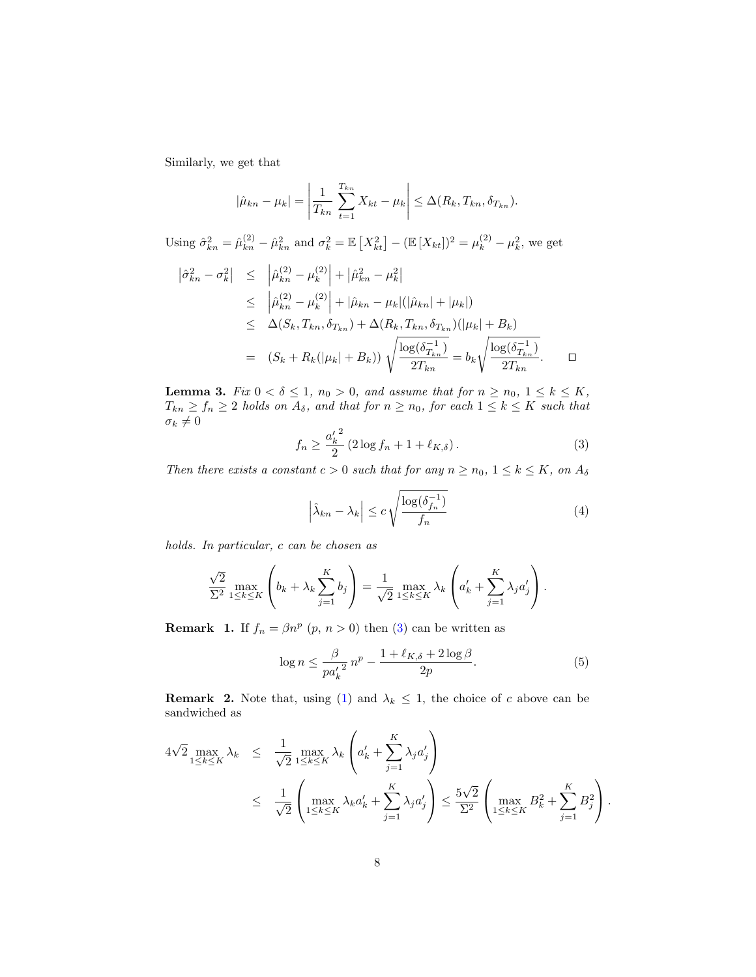Similarly, we get that

$$
|\hat{\mu}_{kn} - \mu_k| = \left| \frac{1}{T_{kn}} \sum_{t=1}^{T_{kn}} X_{kt} - \mu_k \right| \leq \Delta(R_k, T_{kn}, \delta_{T_{kn}}).
$$

Using  $\hat{\sigma}_{kn}^2 = \hat{\mu}_{kn}^{(2)} - \hat{\mu}_{kn}^2$  and  $\sigma_k^2 = \mathbb{E}\left[X_{kt}^2\right] - (\mathbb{E}[X_{kt}])^2 = \mu_k^{(2)} - \mu_k^2$ , we get

$$
\begin{array}{rcl}\n\left| \hat{\sigma}_{kn}^{2} - \sigma_{k}^{2} \right| & \leq & \left| \hat{\mu}_{kn}^{(2)} - \mu_{k}^{(2)} \right| + \left| \hat{\mu}_{kn}^{2} - \mu_{k}^{2} \right| \\
& \leq & \left| \hat{\mu}_{kn}^{(2)} - \mu_{k}^{(2)} \right| + \left| \hat{\mu}_{kn} - \mu_{k} \right| (\left| \hat{\mu}_{kn} \right| + \left| \mu_{k} \right|) \\
& \leq & \Delta(S_k, T_{kn}, \delta_{T_{kn}}) + \Delta(R_k, T_{kn}, \delta_{T_{kn}}) (\left| \mu_k \right| + B_k) \\
& = & (S_k + R_k(\left| \mu_k \right| + B_k)) \sqrt{\frac{\log(\delta_{T_{kn}}^{-1})}{2T_{kn}}} = b_k \sqrt{\frac{\log(\delta_{T_{kn}}^{-1})}{2T_{kn}}}.\n\end{array}
$$

<span id="page-7-0"></span>**Lemma 3.** Fix  $0 < \delta \leq 1$ ,  $n_0 > 0$ , and assume that for  $n \geq n_0$ ,  $1 \leq k \leq K$ ,  $T_{kn} \ge f_n \ge 2$  holds on  $A_\delta$ , and that for  $n \ge n_0$ , for each  $1 \le k \le K$  such that  $\sigma_k \neq 0$ 

<span id="page-7-1"></span>
$$
f_n \ge \frac{{a'_k}^2}{2} \left( 2 \log f_n + 1 + \ell_{K,\delta} \right). \tag{3}
$$

Then there exists a constant  $c > 0$  such that for any  $n \ge n_0$ ,  $1 \le k \le K$ , on  $A_{\delta}$ 

<span id="page-7-2"></span>
$$
\left|\hat{\lambda}_{kn} - \lambda_k\right| \le c \sqrt{\frac{\log(\delta_{f_n}^{-1})}{f_n}}\tag{4}
$$

holds. In particular, c can be chosen as

$$
\frac{\sqrt{2}}{\Sigma^2} \max_{1 \le k \le K} \left( b_k + \lambda_k \sum_{j=1}^K b_j \right) = \frac{1}{\sqrt{2}} \max_{1 \le k \le K} \lambda_k \left( a'_k + \sum_{j=1}^K \lambda_j a'_j \right).
$$

<span id="page-7-4"></span>**Remark** 1. If  $f_n = \beta n^p$   $(p, n > 0)$  then [\(3\)](#page-7-1) can be written as

<span id="page-7-3"></span>
$$
\log n \le \frac{\beta}{p a_k'^2} n^p - \frac{1 + \ell_{K,\delta} + 2 \log \beta}{2p}.
$$
\n<sup>(5)</sup>

**Remark 2.** Note that, using [\(1\)](#page-6-0) and  $\lambda_k \leq 1$ , the choice of c above can be sandwiched as

$$
4\sqrt{2} \max_{1 \le k \le K} \lambda_k \le \frac{1}{\sqrt{2}} \max_{1 \le k \le K} \lambda_k \left( a'_k + \sum_{j=1}^K \lambda_j a'_j \right)
$$
  

$$
\le \frac{1}{\sqrt{2}} \left( \max_{1 \le k \le K} \lambda_k a'_k + \sum_{j=1}^K \lambda_j a'_j \right) \le \frac{5\sqrt{2}}{\Sigma^2} \left( \max_{1 \le k \le K} B_k^2 + \sum_{j=1}^K B_j^2 \right).
$$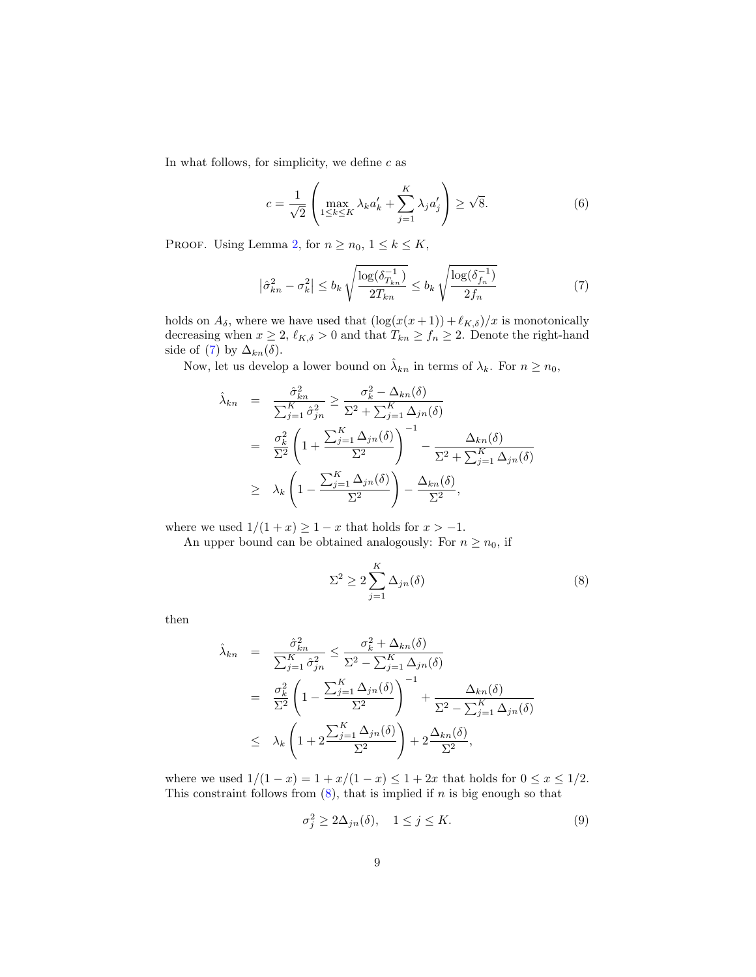In what follows, for simplicity, we define  $c$  as

<span id="page-8-3"></span>
$$
c = \frac{1}{\sqrt{2}} \left( \max_{1 \le k \le K} \lambda_k a'_k + \sum_{j=1}^K \lambda_j a'_j \right) \ge \sqrt{8}.
$$
 (6)

PROOF. Using Lemma [2,](#page-6-1) for  $n \ge n_0$ ,  $1 \le k \le K$ ,

<span id="page-8-0"></span>
$$
\left|\hat{\sigma}_{kn}^2 - \sigma_k^2\right| \le b_k \sqrt{\frac{\log(\delta_{T_{kn}}^{-1})}{2T_{kn}}} \le b_k \sqrt{\frac{\log(\delta_{f_n}^{-1})}{2f_n}}
$$
(7)

holds on  $A_{\delta}$ , where we have used that  $(\log(x(x+1)) + \ell_{K,\delta})/x$  is monotonically decreasing when  $x \ge 2$ ,  $\ell_{K,\delta} > 0$  and that  $T_{kn} \ge f_n \ge 2$ . Denote the right-hand side of [\(7\)](#page-8-0) by  $\Delta_{kn}(\delta)$ .

Now, let us develop a lower bound on  $\hat{\lambda}_{kn}$  in terms of  $\lambda_k$ . For  $n \geq n_0$ ,

$$
\hat{\lambda}_{kn} = \frac{\hat{\sigma}_{kn}^2}{\sum_{j=1}^K \hat{\sigma}_{jn}^2} \ge \frac{\sigma_k^2 - \Delta_{kn}(\delta)}{\sum_{j=1}^K \hat{\sigma}_{jn}^2} \n= \frac{\sigma_k^2}{\sum_{j=1}^2} \left( 1 + \frac{\sum_{j=1}^K \Delta_{jn}(\delta)}{\sum_{j=1}^2} \right)^{-1} - \frac{\Delta_{kn}(\delta)}{\sum_{j=1}^2 \Delta_{jn}(\delta)} \n\ge \lambda_k \left( 1 - \frac{\sum_{j=1}^K \Delta_{jn}(\delta)}{\sum_{j=1}^2} \right) - \frac{\Delta_{kn}(\delta)}{\sum_{j=1}^2},
$$

where we used  $1/(1+x) \geq 1-x$  that holds for  $x > -1$ .

An upper bound can be obtained analogously: For  $n \geq n_0$ , if

<span id="page-8-1"></span>
$$
\Sigma^2 \ge 2 \sum_{j=1}^K \Delta_{jn}(\delta) \tag{8}
$$

then

$$
\hat{\lambda}_{kn} = \frac{\hat{\sigma}_{kn}^2}{\sum_{j=1}^K \hat{\sigma}_{jn}^2} \le \frac{\sigma_k^2 + \Delta_{kn}(\delta)}{\sum_{j=1}^2 \hat{\sigma}_{jn}^2} \n= \frac{\sigma_k^2}{\sum_{j=1}^2} \left( 1 - \frac{\sum_{j=1}^K \Delta_{jn}(\delta)}{\sum_{j=1}^2} \right)^{-1} + \frac{\Delta_{kn}(\delta)}{\sum_{j=1}^2 \Delta_{jn}(\delta)} \n\le \lambda_k \left( 1 + 2 \frac{\sum_{j=1}^K \Delta_{jn}(\delta)}{\sum_{j=1}^2} \right) + 2 \frac{\Delta_{kn}(\delta)}{\sum_{j=1}^2},
$$

where we used  $1/(1-x) = 1 + x/(1-x) \le 1 + 2x$  that holds for  $0 \le x \le 1/2$ . This constraint follows from  $(8)$ , that is implied if n is big enough so that

<span id="page-8-2"></span>
$$
\sigma_j^2 \ge 2\Delta_{jn}(\delta), \quad 1 \le j \le K. \tag{9}
$$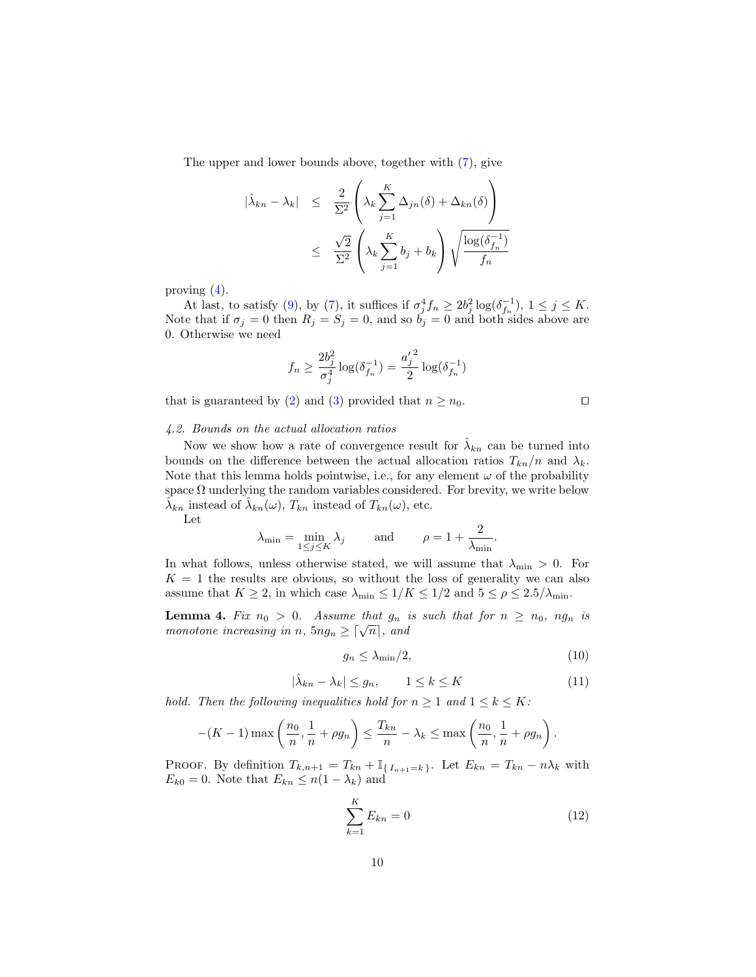The upper and lower bounds above, together with [\(7\)](#page-8-0), give

$$
|\hat{\lambda}_{kn} - \lambda_k| \leq \frac{2}{\Sigma^2} \left( \lambda_k \sum_{j=1}^K \Delta_{jn}(\delta) + \Delta_{kn}(\delta) \right)
$$
  

$$
\leq \frac{\sqrt{2}}{\Sigma^2} \left( \lambda_k \sum_{j=1}^K b_j + b_k \right) \sqrt{\frac{\log(\delta_{f_n}^{-1})}{f_n}}
$$

proving [\(4\)](#page-7-2).

At last, to satisfy [\(9\)](#page-8-2), by [\(7\)](#page-8-0), it suffices if  $\sigma_j^4 f_n \ge 2b_j^2 \log(\delta_{f_n}^{-1}), 1 \le j \le K$ . Note that if  $\sigma_j = 0$  then  $R_j = S_j = 0$ , and so  $b_j = 0$  and both sides above are 0. Otherwise we need

$$
f_n \geq \frac{2b_j^2}{\sigma_j^4} \log(\delta_{f_n}^{-1}) = \frac{{a'_j}^2}{2} \log(\delta_{f_n}^{-1})
$$

that is guaranteed by [\(2\)](#page-6-2) and [\(3\)](#page-7-1) provided that  $n \geq n_0$ .

#### <span id="page-9-1"></span>4.2. Bounds on the actual allocation ratios

Now we show how a rate of convergence result for  $\hat{\lambda}_{kn}$  can be turned into bounds on the difference between the actual allocation ratios  $T_{kn}/n$  and  $\lambda_k$ . Note that this lemma holds pointwise, i.e., for any element  $\omega$  of the probability space  $\Omega$  underlying the random variables considered. For brevity, we write below  $\tilde{\lambda}_{kn}$  instead of  $\tilde{\lambda}_{kn}(\omega)$ ,  $T_{kn}$  instead of  $T_{kn}(\omega)$ , etc.

Let

$$
\lambda_{\min} = \min_{1 \le j \le K} \lambda_j
$$
 and  $\rho = 1 + \frac{2}{\lambda_{\min}}$ .

In what follows, unless otherwise stated, we will assume that  $\lambda_{\min} > 0$ . For  $K = 1$  the results are obvious, so without the loss of generality we can also assume that  $K \ge 2$ , in which case  $\lambda_{\min} \le 1/K \le 1/2$  and  $5 \le \rho \le 2.5/\lambda_{\min}$ .

**Lemma 4.** Fix  $n_0 > 0$ . Assume that  $g_n$  is such that for  $n \ge n_0$ ,  $ng_n$  is **Lemma** 4. Fut  $n_0 > 0$ . Assume that  $g_n$  is<br>monotone increasing in n,  $5n g_n \geq \lceil \sqrt{n} \rceil$ , and

<span id="page-9-3"></span>
$$
g_n \le \lambda_{\min}/2,\tag{10}
$$

<span id="page-9-4"></span>
$$
|\hat{\lambda}_{kn} - \lambda_k| \le g_n, \qquad 1 \le k \le K \tag{11}
$$

hold. Then the following inequalities hold for  $n \geq 1$  and  $1 \leq k \leq K$ :

$$
-(K-1)\max\left(\frac{n_0}{n},\frac{1}{n}+\rho g_n\right)\leq \frac{T_{kn}}{n}-\lambda_k\leq \max\left(\frac{n_0}{n},\frac{1}{n}+\rho g_n\right).
$$

PROOF. By definition  $T_{k,n+1} = T_{kn} + \mathbb{I}_{\{I_{n+1}=k\}}$ . Let  $E_{kn} = T_{kn} - n\lambda_k$  with  $E_{k0} = 0$ . Note that  $E_{kn} \leq n(1 - \lambda_k)$  and

<span id="page-9-2"></span>
$$
\sum_{k=1}^{K} E_{kn} = 0 \tag{12}
$$

<span id="page-9-0"></span>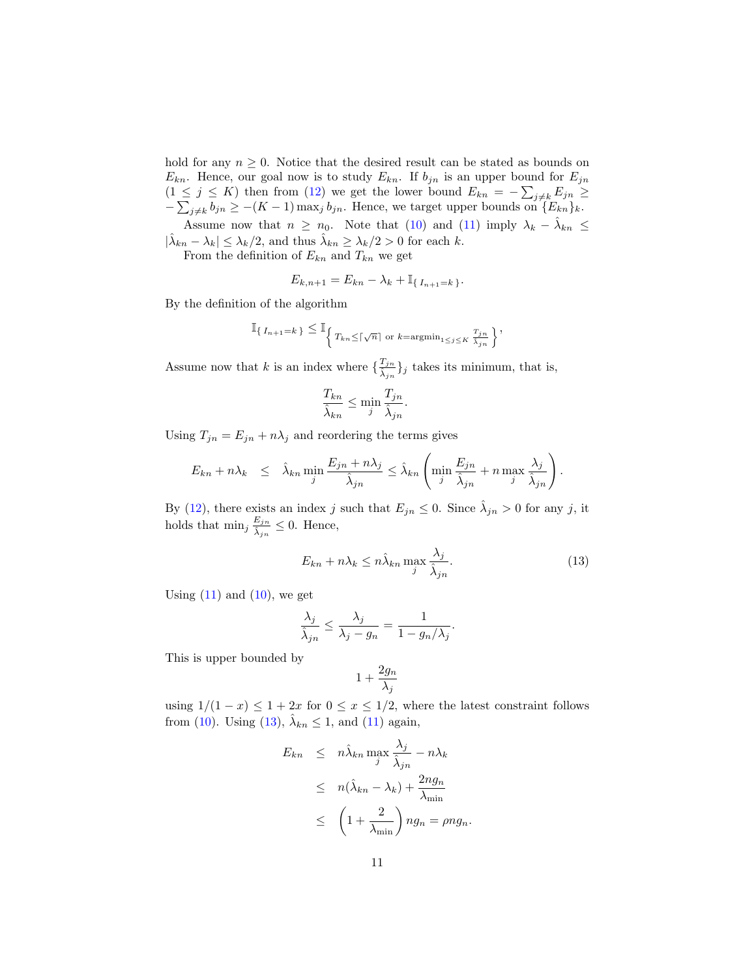hold for any  $n \geq 0$ . Notice that the desired result can be stated as bounds on  $E_{kn}$ . Hence, our goal now is to study  $E_{kn}$ . If  $b_{jn}$  is an upper bound for  $E_{jn}$  $(1 \leq j \leq K)$  then from [\(12\)](#page-9-2) we get the lower bound  $E_{kn} = -\sum_{j \neq k} E_{jn} \geq$  $-\sum_{j\neq k} b_{jn} \ge -(K-1) \max_j b_{jn}$ . Hence, we target upper bounds on  $\{E_{kn}\}_k$ . Assume now that  $n \geq n_0$ . Note that [\(10\)](#page-9-3) and [\(11\)](#page-9-4) imply  $\lambda_k - \hat{\lambda}_{kn} \leq$ 

 $|\hat{\lambda}_{kn} - \lambda_k| \leq \lambda_k/2$ , and thus  $\hat{\lambda}_{kn} \geq \lambda_k/2 > 0$  for each k.

From the definition of  $E_{kn}$  and  $T_{kn}$  we get

$$
E_{k,n+1} = E_{kn} - \lambda_k + \mathbb{I}_{\{I_{n+1}=k\}}.
$$

By the definition of the algorithm

$$
\mathbb{I}_{\{I_{n+1}=k\}} \leq \mathbb{I}_{\left\{\left|T_{kn}\leq \lceil \sqrt{n}\rceil \text{ or } k=\text{argmin}_{1\leq j\leq K}\frac{T_{jn}}{\hat{\lambda}_{jn}}\right.\right\}},
$$

Assume now that k is an index where  $\{\frac{T_{jn}}{s}$  $\{\frac{I_{jn}}{\hat{\lambda}_{jn}}\}_j$  takes its minimum, that is,

$$
\frac{T_{kn}}{\hat{\lambda}_{kn}} \le \min_j \frac{T_{jn}}{\hat{\lambda}_{jn}}.
$$

Using  $T_{jn} = E_{jn} + n\lambda_j$  and reordering the terms gives

$$
E_{kn} + n\lambda_k \leq \hat{\lambda}_{kn} \min_j \frac{E_{jn} + n\lambda_j}{\hat{\lambda}_{jn}} \leq \hat{\lambda}_{kn} \left( \min_j \frac{E_{jn}}{\hat{\lambda}_{jn}} + n \max_j \frac{\lambda_j}{\hat{\lambda}_{jn}} \right).
$$

By [\(12\)](#page-9-2), there exists an index j such that  $E_{jn} \leq 0$ . Since  $\hat{\lambda}_{jn} > 0$  for any j, it holds that  $\min_j \frac{E_{jn}}{\hat{\lambda}}$  $\frac{E_{jn}}{\hat{\lambda}_{jn}} \leq 0$ . Hence,

<span id="page-10-0"></span>
$$
E_{kn} + n\lambda_k \le n\hat{\lambda}_{kn} \max_j \frac{\lambda_j}{\hat{\lambda}_{jn}}.\tag{13}
$$

Using  $(11)$  and  $(10)$ , we get

$$
\frac{\lambda_j}{\hat{\lambda}_{jn}} \le \frac{\lambda_j}{\lambda_j - g_n} = \frac{1}{1 - g_n/\lambda_j}.
$$

This is upper bounded by

$$
1+\frac{2g_n}{\lambda_j}
$$

using  $1/(1-x) \leq 1+2x$  for  $0 \leq x \leq 1/2$ , where the latest constraint follows from [\(10\)](#page-9-3). Using [\(13\)](#page-10-0),  $\hat{\lambda}_{kn} \leq 1$ , and [\(11\)](#page-9-4) again,

$$
E_{kn} \leq n \hat{\lambda}_{kn} \max_{j} \frac{\lambda_j}{\hat{\lambda}_{jn}} - n \lambda_k
$$
  

$$
\leq n(\hat{\lambda}_{kn} - \lambda_k) + \frac{2ng_n}{\lambda_{\min}}
$$
  

$$
\leq \left(1 + \frac{2}{\lambda_{\min}}\right) ng_n = \rho n g_n.
$$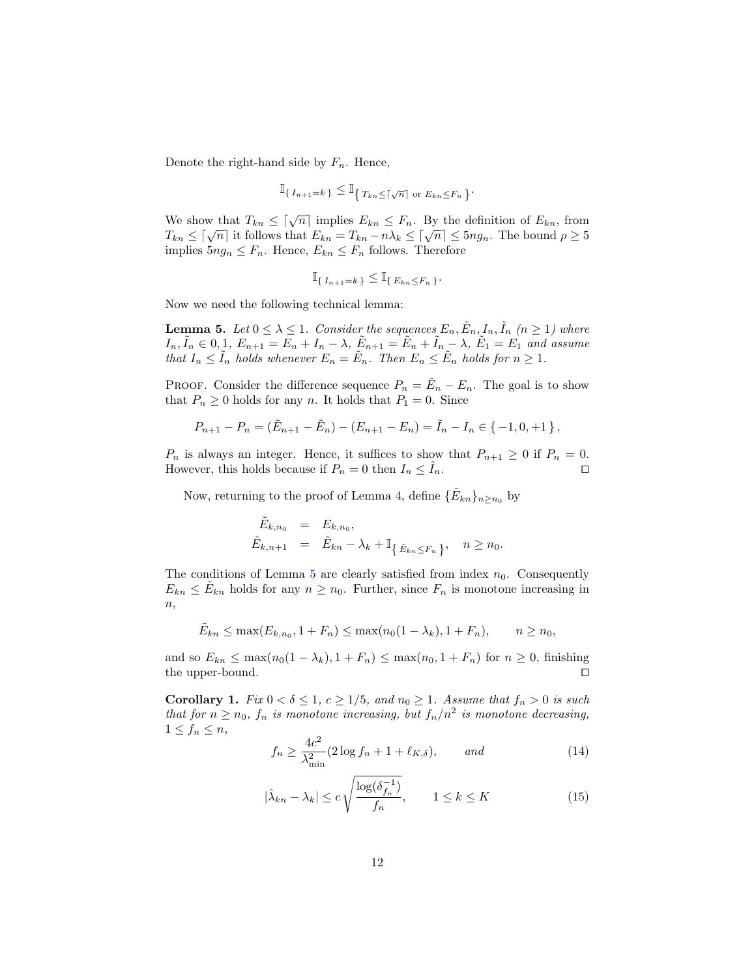Denote the right-hand side by  $F_n$ . Hence,

$$
\mathbb{I}_{\{I_{n+1}=k\}} \leq \mathbb{I}_{\{T_{kn}\leq \lceil \sqrt{n}\rceil \text{ or } E_{kn}\leq F_n\}}
$$

.

We show that  $T_{kn} \leq \lceil \sqrt{n} \rceil$  implies  $E_{kn} \leq F_n$ . By the definition of  $E_{kn}$ , from We show that  $T_{kn} \leq |\sqrt{n}|$  implies  $E_{kn} \leq F_n$ . By the definition of  $E_{kn}$ , from<br>  $T_{kn} \leq [\sqrt{n}]$  it follows that  $E_{kn} = T_{kn} - n\lambda_k \leq [\sqrt{n}] \leq 5n g_n$ . The bound  $\rho \geq 5$ implies  $5ng_n \leq F_n$ . Hence,  $E_{kn} \leq F_n$  follows. Therefore

<span id="page-11-1"></span>
$$
\mathbb{I}_{\{I_{n+1}=k\}} \leq \mathbb{I}_{\{E_{kn}\leq F_n\}}.
$$

Now we need the following technical lemma:

**Lemma 5.** Let  $0 \leq \lambda \leq 1$ . Consider the sequences  $E_n$ ,  $\tilde{E}_n$ ,  $I_n$ ,  $\tilde{I}_n$  ( $n \geq 1$ ) where  $I_n, \tilde{I}_n \in [0,1], E_{n+1} = \overline{E_n} + I_n - \lambda, \ \tilde{E}_{n+1} = \overline{\tilde{E}_n} + \tilde{I}_n - \lambda, \ \tilde{E}_1 = E_1$  and assume that  $I_n \leq \tilde{I}_n$  holds whenever  $E_n = \tilde{E}_n$ . Then  $E_n \leq \tilde{E}_n$  holds for  $n \geq 1$ .

PROOF. Consider the difference sequence  $P_n = \tilde{E}_n - E_n$ . The goal is to show that  $P_n \geq 0$  holds for any n. It holds that  $P_1 = 0$ . Since

$$
P_{n+1} - P_n = (\tilde{E}_{n+1} - \tilde{E}_n) - (E_{n+1} - E_n) = \tilde{I}_n - I_n \in \{-1, 0, +1\},\
$$

 $P_n$  is always an integer. Hence, it suffices to show that  $P_{n+1} \geq 0$  if  $P_n = 0$ . However, this holds because if  $P_n = 0$  then  $I_n \leq I_n$ .

Now, returning to the proof of Lemma [4,](#page-9-0) define  $\{\tilde{E}_{kn}\}_{n\geq n_0}$  by

$$
\begin{aligned}\n\tilde{E}_{k,n_0} &= E_{k,n_0}, \\
\tilde{E}_{k,n+1} &= \tilde{E}_{kn} - \lambda_k + \mathbb{I}_{\{\tilde{E}_{kn} \le F_n\}}, \quad n \ge n_0.\n\end{aligned}
$$

The conditions of Lemma [5](#page-11-1) are clearly satisfied from index  $n_0$ . Consequently  $E_{kn} \leq \tilde{E}_{kn}$  holds for any  $n \geq n_0$ . Further, since  $F_n$  is monotone increasing in  $n,$ 

$$
\tilde{E}_{kn} \le \max(E_{k,n_0}, 1 + F_n) \le \max(n_0(1 - \lambda_k), 1 + F_n), \qquad n \ge n_0,
$$

and so  $E_{kn} \leq \max(n_0(1-\lambda_k), 1+F_n) \leq \max(n_0, 1+F_n)$  for  $n \geq 0$ , finishing the upper-bound.  $\Box$ 

<span id="page-11-0"></span>Corollary 1. Fix  $0 < \delta \leq 1, c \geq 1/5,$  and  $n_0 \geq 1$ . Assume that  $f_n > 0$  is such that for  $n \geq n_0$ ,  $f_n$  is monotone increasing, but  $f_n/n^2$  is monotone decreasing,  $1 \leq f_n \leq n$ ,

<span id="page-11-2"></span>
$$
f_n \ge \frac{4c^2}{\lambda_{\min}^2} (2\log f_n + 1 + \ell_{K,\delta}), \quad \text{and} \tag{14}
$$

<span id="page-11-3"></span>
$$
|\hat{\lambda}_{kn} - \lambda_k| \le c \sqrt{\frac{\log(\delta_{f_n}^{-1})}{f_n}}, \qquad 1 \le k \le K \tag{15}
$$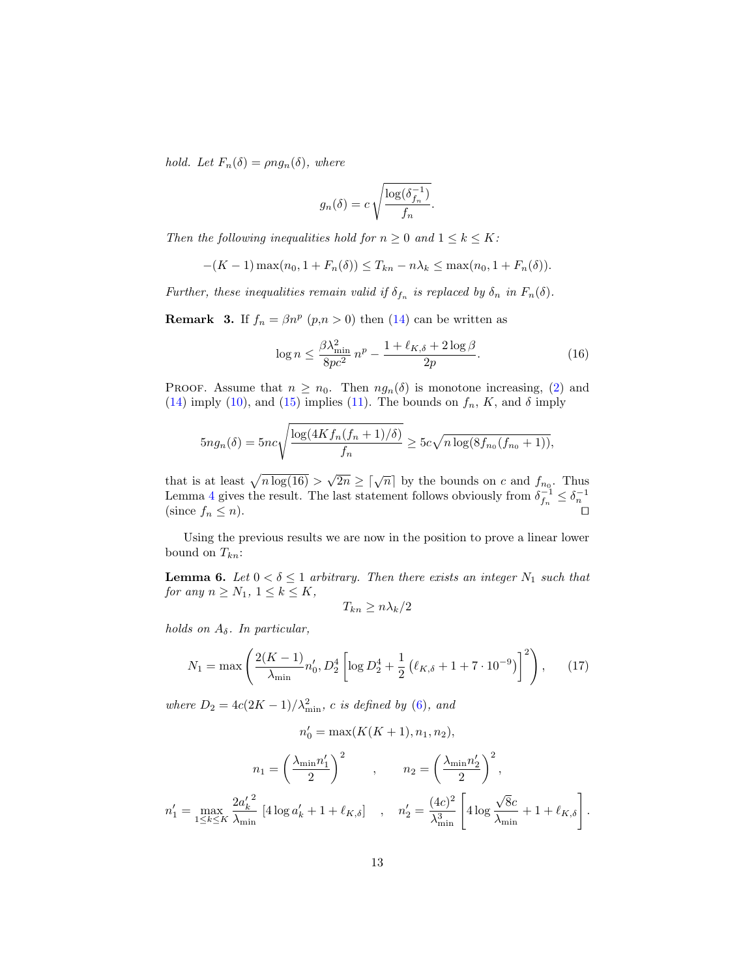hold. Let  $F_n(\delta) = \rho n g_n(\delta)$ , where

$$
g_n(\delta) = c \sqrt{\frac{\log(\delta_{f_n}^{-1})}{f_n}}.
$$

Then the following inequalities hold for  $n \geq 0$  and  $1 \leq k \leq K$ :

$$
-(K-1)\max(n_0, 1 + F_n(\delta)) \le T_{kn} - n\lambda_k \le \max(n_0, 1 + F_n(\delta)).
$$

Further, these inequalities remain valid if  $\delta_{f_n}$  is replaced by  $\delta_n$  in  $F_n(\delta)$ .

<span id="page-12-2"></span>**Remark 3.** If  $f_n = \beta n^p$   $(p,n>0)$  then  $(14)$  can be written as

<span id="page-12-1"></span>
$$
\log n \le \frac{\beta \lambda_{\min}^2}{8pc^2} n^p - \frac{1 + \ell_{K,\delta} + 2\log \beta}{2p}.
$$
\n(16)

PROOF. Assume that  $n \geq n_0$ . Then  $ng_n(\delta)$  is monotone increasing, [\(2\)](#page-6-2) and [\(14\)](#page-11-2) imply [\(10\)](#page-9-3), and [\(15\)](#page-11-3) implies [\(11\)](#page-9-4). The bounds on  $f_n$ , K, and  $\delta$  imply

$$
5ng_n(\delta) = 5nc\sqrt{\frac{\log(4Kf_n(f_n+1)/\delta)}{f_n}} \ge 5c\sqrt{n\log(8f_{n_0}(f_{n_0}+1))},
$$

that is at least  $\sqrt{n \log(16)}$  $\sqrt{2n} \geq \lceil \sqrt{n} \rceil$  by the bounds on c and  $f_{n_0}$ . Thus Lemma [4](#page-9-0) gives the result. The last statement follows obviously from  $\delta_{f_n}^{-1} \leq \delta_n^{-1}$  (since  $f_n \leq n$ ).

<span id="page-12-0"></span>Using the previous results we are now in the position to prove a linear lower bound on  $T_{kn}$ :

**Lemma 6.** Let  $0 < \delta \leq 1$  arbitrary. Then there exists an integer  $N_1$  such that for any  $n \geq N_1$ ,  $1 \leq k \leq K$ ,

$$
T_{kn}\geq n\lambda_k/2
$$

holds on  $A_{\delta}$ . In particular,

<span id="page-12-3"></span>
$$
N_1 = \max\left(\frac{2(K-1)}{\lambda_{\min}}n'_0, D_2^4 \left[\log D_2^4 + \frac{1}{2}\left(\ell_{K,\delta} + 1 + 7 \cdot 10^{-9}\right)\right]^2\right),\tag{17}
$$

where  $D_2 = 4c(2K-1)/\lambda_{\min}^2$ , c is defined by [\(6\)](#page-8-3), and

$$
n_0' = \max(K(K+1), n_1, n_2),
$$

$$
n_1 = \left(\frac{\lambda_{\min} n_1'}{2}\right)^2 \qquad , \qquad n_2 = \left(\frac{\lambda_{\min} n_2'}{2}\right)^2,
$$
  

$$
n_1' = \max_{1 \le k \le K} \frac{2a_k'^2}{\lambda_{\min}} \left[4 \log a_k' + 1 + \ell_{K,\delta}\right] \qquad , \quad n_2' = \frac{(4c)^2}{\lambda_{\min}^3} \left[4 \log \frac{\sqrt{8}c}{\lambda_{\min}} + 1 + \ell_{K,\delta}\right].
$$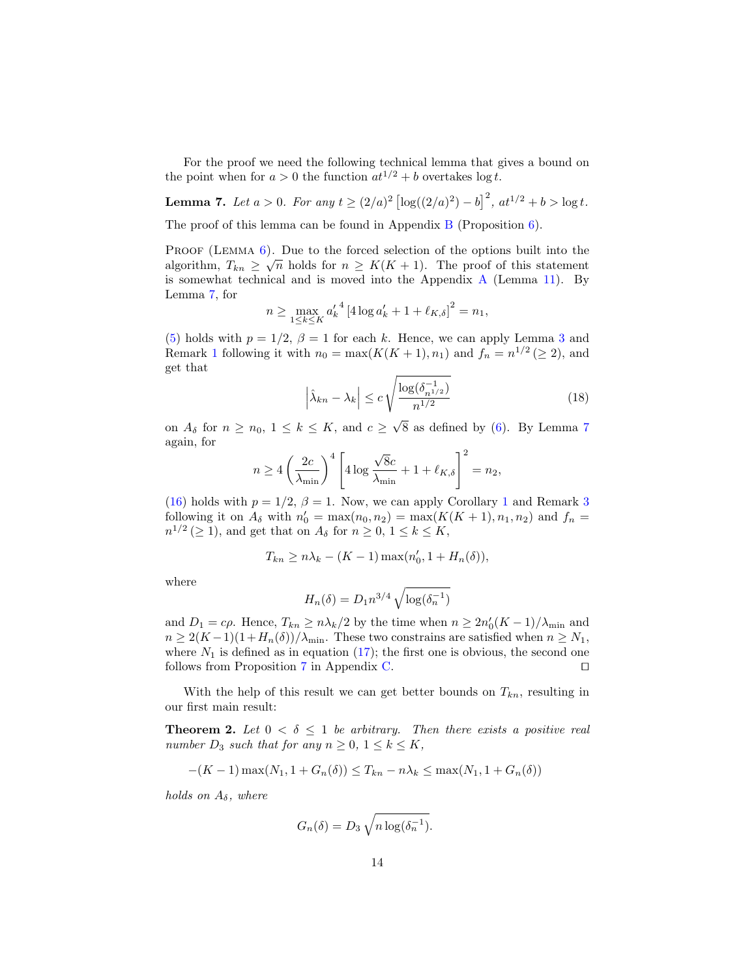For the proof we need the following technical lemma that gives a bound on the point when for  $a > 0$  the function  $at^{1/2} + b$  overtakes log t.

**Lemma 7.** Let  $a > 0$ . For any  $t \ge (2/a)^2 \left[ \log((2/a)^2) - b \right]^2$ ,  $at^{1/2} + b > \log t$ .

The proof of this lemma can be found in Appendix [B](#page-23-0) (Proposition [6\)](#page-24-0).

PROOF (LEMMA [6\)](#page-12-0). Due to the forced selection of the options built into the algorithm,  $T_{kn} \geq \sqrt{n}$  holds for  $n \geq K(K+1)$ . The proof of this statement is somewhat technical and is moved into the [A](#page-22-0)ppendix  $A$  (Lemma [11\)](#page-22-1). By Lemma [7,](#page-13-1) for

<span id="page-13-1"></span>
$$
n \ge \max_{1 \le k \le K} {a'_k}^4 \left[ 4 \log a'_k + 1 + \ell_{K,\delta} \right]^2 = n_1,
$$

[\(5\)](#page-7-3) holds with  $p = 1/2$ ,  $\beta = 1$  for each k. Hence, we can apply Lemma [3](#page-7-0) and Remark [1](#page-7-4) following it with  $n_0 = \max(K(K+1), n_1)$  and  $f_n = n^{1/2} \geq 2$ , and get that

$$
\left|\hat{\lambda}_{kn} - \lambda_k\right| \le c \sqrt{\frac{\log(\delta_{n^{1/2}}^{-1})}{n^{1/2}}}
$$
\n(18)

on  $A_{\delta}$  for  $n \geq n_0, 1 \leq k \leq K$ , and  $c \geq$ 8 as defined by [\(6\)](#page-8-3). By Lemma [7](#page-13-1) again, for

$$
n \geq 4 \left( \frac{2c}{\lambda_{\min}} \right)^4 \left[ 4 \log \frac{\sqrt{8}c}{\lambda_{\min}} + 1 + \ell_{K,\delta} \right]^2 = n_2,
$$

[\(16\)](#page-12-1) holds with  $p = 1/2$  $p = 1/2$  $p = 1/2$ ,  $\beta = 1$ . Now, we can apply Corollary 1 and Remark [3](#page-12-2) following it on  $A_{\delta}$  with  $n'_{0} = \max(n_{0}, n_{2}) = \max(K(K + 1), n_{1}, n_{2})$  and  $f_{n} =$  $n^{1/2} \, (\geq 1)$ , and get that on  $A_{\delta}$  for  $n \geq 0, 1 \leq k \leq K$ ,

$$
T_{kn} \ge n\lambda_k - (K-1)\max(n'_0, 1 + H_n(\delta)),
$$

where

<span id="page-13-0"></span>
$$
H_n(\delta) = D_1 n^{3/4} \sqrt{\log(\delta_n^{-1})}
$$

and  $D_1 = c\rho$ . Hence,  $T_{kn} \geq n\lambda_k/2$  by the time when  $n \geq 2n'_0(K-1)/\lambda_{\min}$  and  $n \geq 2(K-1)(1+H_n(\delta))/\lambda_{\min}$ . These two constrains are satisfied when  $n \geq N_1$ , where  $N_1$  is defined as in equation [\(17\)](#page-12-3); the first one is obvious, the second one follows from Proposition [7](#page-24-1) in Appendix [C.](#page-24-2)  $\Box$ 

With the help of this result we can get better bounds on  $T_{kn}$ , resulting in our first main result:

**Theorem 2.** Let  $0 < \delta \leq 1$  be arbitrary. Then there exists a positive real number  $D_3$  such that for any  $n \geq 0, 1 \leq k \leq K$ ,

$$
-(K-1)\max(N_1, 1 + G_n(\delta)) \le T_{kn} - n\lambda_k \le \max(N_1, 1 + G_n(\delta))
$$

holds on  $A_{\delta}$ , where

$$
G_n(\delta) = D_3 \sqrt{n \log(\delta_n^{-1})}.
$$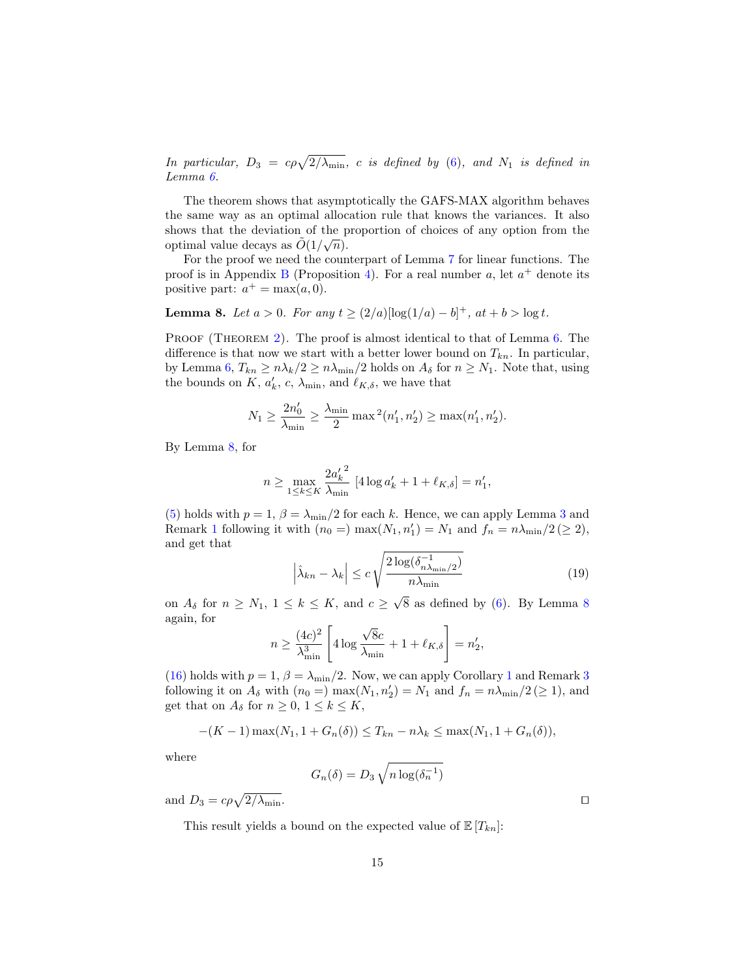In particular,  $D_3 = c\rho \sqrt{2/\lambda_{\min}}$ , c is defined by [\(6\)](#page-8-3), and  $N_1$  is defined in Lemma [6.](#page-12-0)

The theorem shows that asymptotically the GAFS-MAX algorithm behaves the same way as an optimal allocation rule that knows the variances. It also shows that the deviation of the proportion of choices of any option from the optimal value decays as  $\tilde{O}(1/\sqrt{n}).$ 

For the proof we need the counterpart of Lemma [7](#page-13-1) for linear functions. The proof is in Appendix [B](#page-23-0) (Proposition [4\)](#page-24-3). For a real number a, let  $a^+$  denote its positive part:  $a^+ = \max(a, 0)$ .

**Lemma 8.** Let  $a > 0$ . For any  $t \ge (2/a)[\log(1/a) - b]^+$ ,  $at + b > \log t$ .

PROOF (THEOREM [2\)](#page-13-0). The proof is almost identical to that of Lemma [6.](#page-12-0) The difference is that now we start with a better lower bound on  $T_{kn}$ . In particular, by Lemma [6,](#page-12-0)  $T_{kn} \geq n\lambda_k/2 \geq n\lambda_{\min}/2$  holds on  $A_\delta$  for  $n \geq N_1$ . Note that, using the bounds on K,  $a'_k$ , c,  $\lambda_{\min}$ , and  $\ell_{K,\delta}$ , we have that

<span id="page-14-0"></span>
$$
N_1 \ge \frac{2n'_0}{\lambda_{\min}} \ge \frac{\lambda_{\min}}{2} \max^2(n'_1, n'_2) \ge \max(n'_1, n'_2).
$$

By Lemma [8,](#page-14-0) for

$$
n \ge \max_{1 \le k \le K} \frac{2a'_k^2}{\lambda_{\min}} \left[ 4 \log a'_k + 1 + \ell_{K,\delta} \right] = n'_1,
$$

[\(5\)](#page-7-3) holds with  $p = 1$ ,  $\beta = \lambda_{\min}/2$  for each k. Hence, we can apply Lemma [3](#page-7-0) and Remark [1](#page-7-4) following it with  $(n_0 =)$  max $(N_1, n'_1) = N_1$  and  $f_n = n\lambda_{\min}/2 \ (\ge 2)$ , and get that

$$
\left|\hat{\lambda}_{kn} - \lambda_k\right| \le c \sqrt{\frac{2\log(\delta_{n\lambda_{\min}/2}^{-1})}{n\lambda_{\min}}}
$$
\n(19)

on  $A_{\delta}$  for  $n \geq N_1$ ,  $1 \leq k \leq K$ , and  $c \geq$  $8$  as defined by  $(6)$ . By Lemma  $8$ again, for √

$$
n \ge \frac{(4c)^2}{\lambda_{\min}^3} \left[ 4 \log \frac{\sqrt{8}c}{\lambda_{\min}} + 1 + \ell_{K,\delta} \right] = n_2',
$$

[\(16\)](#page-12-1) holds with  $p = 1$  $p = 1$ ,  $\beta = \lambda_{\min}/2$ . Now, we can apply Corollary 1 and Remark [3](#page-12-2) following it on  $A_{\delta}$  with  $(n_0 =)$  max $(N_1, n'_2) = N_1$  and  $f_n = n\lambda_{\min}/2 \ (\geq 1)$ , and get that on  $A_{\delta}$  for  $n \geq 0, 1 \leq k \leq K$ ,

$$
-(K-1)\max(N_1, 1 + G_n(\delta)) \le T_{kn} - n\lambda_k \le \max(N_1, 1 + G_n(\delta)),
$$

where

$$
G_n(\delta) = D_3 \sqrt{n \log(\delta_n^{-1})}
$$

and  $D_3 = c\rho\sqrt{2/\lambda_{\min}}$ .

This result yields a bound on the expected value of  $\mathbb{E}[T_{kn}]$ :

<span id="page-14-1"></span>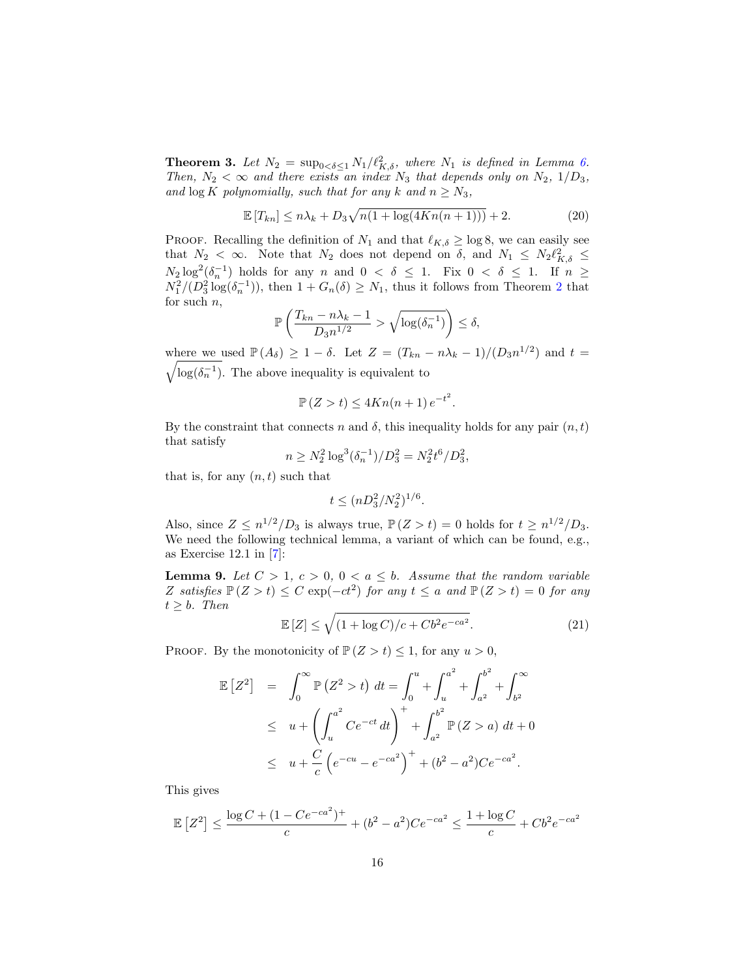**Theorem 3.** Let  $N_2 = \sup_{0 \le \delta \le 1} N_1 / \ell_{K,\delta}^2$ , where  $N_1$  is defined in Lemma [6.](#page-12-0) Then,  $N_2 < \infty$  and there exists an index  $N_3$  that depends only on  $N_2$ ,  $1/D_3$ , and  $\log K$  polynomially, such that for any k and  $n \geq N_3$ ,

<span id="page-15-1"></span>
$$
\mathbb{E}\left[T_{kn}\right] \leq n\lambda_k + D_3\sqrt{n(1+\log(4Kn(n+1)))} + 2. \tag{20}
$$

PROOF. Recalling the definition of  $N_1$  and that  $\ell_{K,\delta} \ge \log 8$ , we can easily see that  $N_2 < \infty$ . Note that  $N_2$  does not depend on  $\delta$ , and  $N_1 \le N_2 \ell_{K,\delta}^2 \le$  $N_2 \log^2(\delta_n^{-1})$  holds for any n and  $0 < \delta \leq 1$ . Fix  $0 < \delta \leq 1$ . If  $n \geq$  $N_1^2/(D_3^2 \log(\delta_n^{-1}))$  $N_1^2/(D_3^2 \log(\delta_n^{-1}))$  $N_1^2/(D_3^2 \log(\delta_n^{-1}))$ , then  $1 + G_n(\delta) \geq N_1$ , thus it follows from Theorem 2 that for such  $n$ ,

$$
\mathbb{P}\left(\frac{T_{kn} - n\lambda_k - 1}{D_3 n^{1/2}} > \sqrt{\log(\delta_n^{-1})}\right) \le \delta,
$$

where we used  $\mathbb{P}(A_{\delta}) \geq 1 - \delta$ . Let  $Z = (T_{kn} - n\lambda_k - 1)/(D_3 n^{1/2})$  and  $t =$  $\sqrt{\log(\delta_n^{-1})}$ . The above inequality is equivalent to

$$
\mathbb{P}\left(Z > t\right) \le 4Kn(n+1)e^{-t^2}.
$$

By the constraint that connects n and  $\delta$ , this inequality holds for any pair  $(n, t)$ that satisfy

$$
n \ge N_2^2 \log^3(\delta_n^{-1})/D_3^2 = N_2^2 t^6 / D_3^2,
$$

that is, for any  $(n, t)$  such that

<span id="page-15-0"></span>
$$
t \le (nD_3^2/N_2^2)^{1/6}.
$$

Also, since  $Z \leq n^{1/2}/D_3$  is always true,  $\mathbb{P}(Z > t) = 0$  holds for  $t \geq n^{1/2}/D_3$ . We need the following technical lemma, a variant of which can be found, e.g., as Exercise 12.1 in [\[7\]](#page-26-7):

**Lemma 9.** Let  $C > 1$ ,  $c > 0$ ,  $0 < a \leq b$ . Assume that the random variable Z satisfies  $\mathbb{P}(Z > t) \leq C \exp(-ct^2)$  for any  $t \leq a$  and  $\mathbb{P}(Z > t) = 0$  for any  $t > b$ . Then

$$
\mathbb{E}\left[Z\right] \le \sqrt{\left(1 + \log C\right)/c + Cb^2 e^{-ca^2}}.\tag{21}
$$

PROOF. By the monotonicity of  $\mathbb{P}(Z > t) \leq 1$ , for any  $u > 0$ ,

$$
\mathbb{E}\left[Z^2\right] = \int_0^\infty \mathbb{P}\left(Z^2 > t\right) dt = \int_0^u + \int_u^{a^2} + \int_{a^2}^{b^2} + \int_{b^2}^\infty
$$
\n
$$
\leq u + \left(\int_u^{a^2} Ce^{-ct} dt\right)^+ + \int_{a^2}^{b^2} \mathbb{P}\left(Z > a\right) dt + 0
$$
\n
$$
\leq u + \frac{C}{c} \left(e^{-cu} - e^{-ca^2}\right)^+ + (b^2 - a^2)Ce^{-ca^2}.
$$

This gives

$$
\mathbb{E}\left[Z^2\right] \le \frac{\log C + (1 - Ce^{-ca^2})^+}{c} + (b^2 - a^2)Ce^{-ca^2} \le \frac{1 + \log C}{c} + Cb^2e^{-ca^2}
$$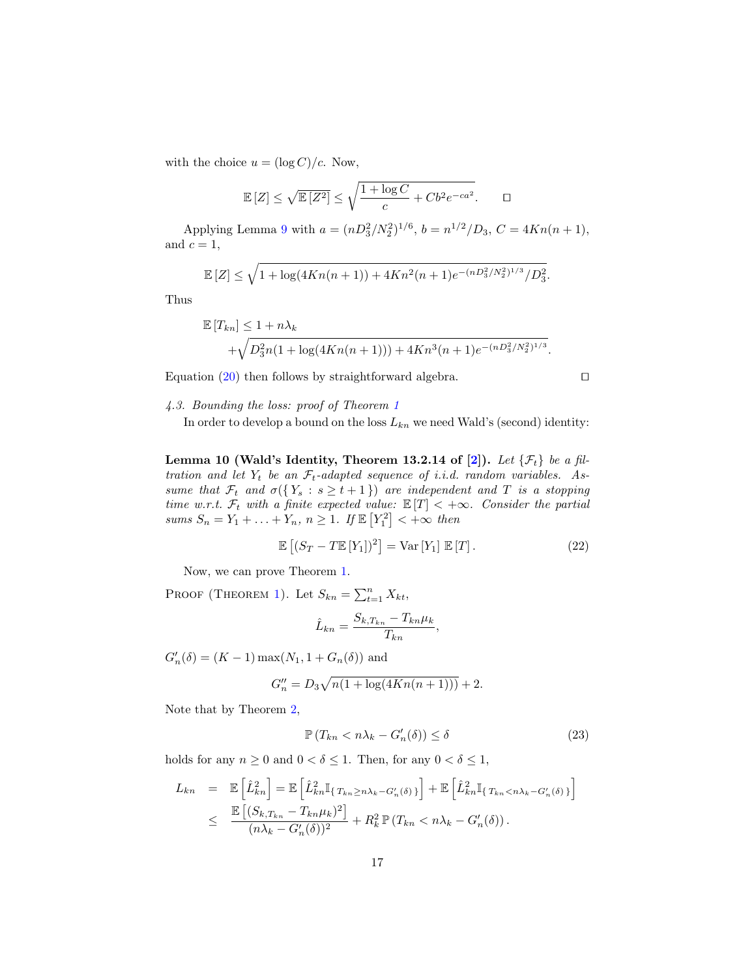with the choice  $u = (\log C)/c$ . Now,

$$
\mathbb{E}\left[Z\right] \le \sqrt{\mathbb{E}\left[Z^2\right]} \le \sqrt{\frac{1 + \log C}{c} + Cb^2 e^{-ca^2}}.\qquad \Box
$$

Applying Lemma [9](#page-15-0) with  $a = (nD_3^2/N_2^2)^{1/6}$ ,  $b = n^{1/2}/D_3$ ,  $C = 4Kn(n+1)$ , and  $c = 1$ ,

$$
\mathbb{E}\left[Z\right] \leq \sqrt{1 + \log(4Kn(n+1)) + 4Kn^2(n+1)e^{-(nD_3^2/N_2^2)^{1/3}}/D_3^2}.
$$

Thus

$$
\mathbb{E}\left[T_{kn}\right] \le 1 + n\lambda_k + \sqrt{D_3^2 n(1 + \log(4Kn(n+1))) + 4Kn^3(n+1)e^{-(nD_3^2/N_2^2)^{1/3}}}.
$$

Equation  $(20)$  then follows by straightforward algebra.

$$
\Box
$$

<span id="page-16-0"></span>4.3. Bounding the loss: proof of Theorem [1](#page-4-1)

<span id="page-16-1"></span>In order to develop a bound on the loss  $L_{kn}$  we need Wald's (second) identity:

Lemma 10 (Wald's Identity, Theorem 13.2.14 of [\[2\]](#page-25-2)). Let  $\{\mathcal{F}_t\}$  be a filtration and let  $Y_t$  be an  $\mathcal{F}_t$ -adapted sequence of i.i.d. random variables. Assume that  $\mathcal{F}_t$  and  $\sigma({Y_s : s \ge t+1})$  are independent and T is a stopping time w.r.t.  $\mathcal{F}_t$  with a finite expected value:  $\mathbb{E}[T] < +\infty$ . Consider the partial sums  $S_n = Y_1 + \ldots + Y_n$ ,  $n \geq 1$ . If  $\mathbb{E}[Y_1^2] < +\infty$  then

$$
\mathbb{E}\left[ (S_T - T\mathbb{E}[Y_1])^2 \right] = \text{Var}\left[ Y_1 \right] \mathbb{E}[T]. \tag{22}
$$

Now, we can prove Theorem [1.](#page-4-1)

PROOF (THEOREM [1\)](#page-4-1). Let  $S_{kn} = \sum_{t=1}^{n} X_{kt}$ ,

$$
\hat{L}_{kn} = \frac{S_{k,T_{kn}} - T_{kn} \mu_k}{T_{kn}},
$$

 $G'_{n}(\delta) = (K - 1) \max(N_1, 1 + G_n(\delta))$  and

$$
G_n'' = D_3 \sqrt{n(1 + \log(4Kn(n+1)))} + 2.
$$

Note that by Theorem [2,](#page-13-0)

<span id="page-16-2"></span>
$$
\mathbb{P}\left(T_{kn} < n\lambda_k - G'_n(\delta)\right) \le \delta \tag{23}
$$

holds for any  $n \geq 0$  and  $0 < \delta \leq 1$ . Then, for any  $0 < \delta \leq 1$ ,

$$
L_{kn} = \mathbb{E}\left[\hat{L}_{kn}^2\right] = \mathbb{E}\left[\hat{L}_{kn}^2\mathbb{I}_{\{T_{kn}\geq n\lambda_k - G'_n(\delta)\}}\right] + \mathbb{E}\left[\hat{L}_{kn}^2\mathbb{I}_{\{T_{kn} < n\lambda_k - G'_n(\delta)\}}\right]
$$
\n
$$
\leq \frac{\mathbb{E}\left[(S_{k,T_{kn}} - T_{kn}\mu_k)^2\right]}{(n\lambda_k - G'_n(\delta))^2} + R_k^2 \mathbb{P}\left(T_{kn} < n\lambda_k - G'_n(\delta)\right).
$$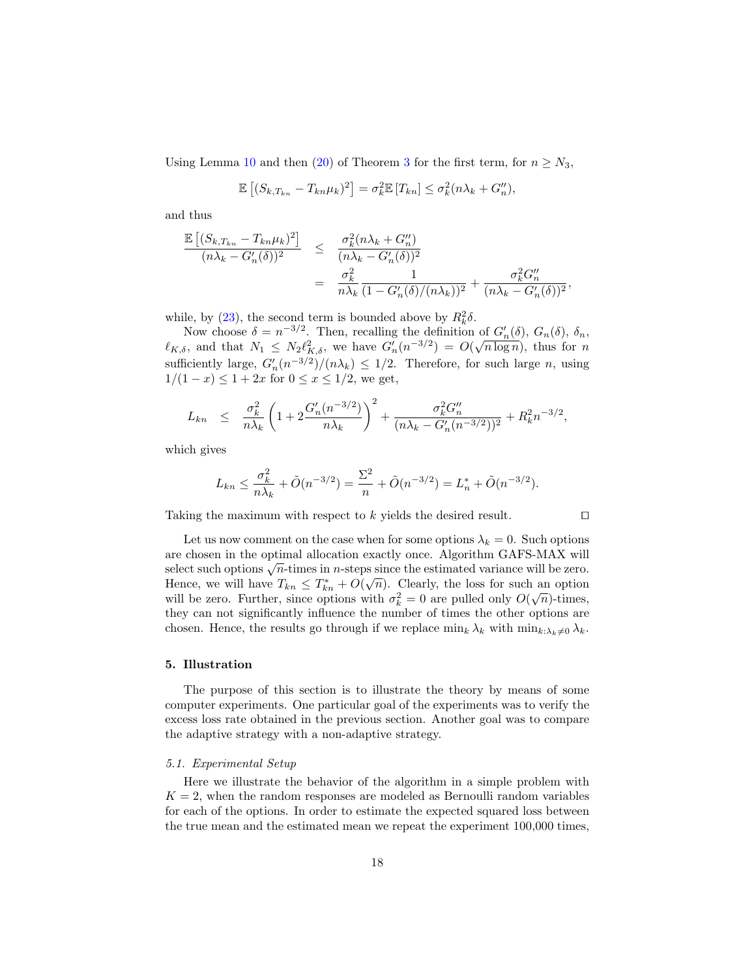Using Lemma [10](#page-16-1) and then [\(20\)](#page-15-1) of Theorem [3](#page-14-1) for the first term, for  $n \geq N_3$ ,

$$
\mathbb{E}\left[ (S_{k,T_{kn}} - T_{kn}\mu_k)^2 \right] = \sigma_k^2 \mathbb{E}\left[ T_{kn} \right] \leq \sigma_k^2 (n\lambda_k + G_n''),
$$

and thus

$$
\frac{\mathbb{E}\left[ (S_{k,T_{kn}} - T_{kn}\mu_k)^2 \right]}{(n\lambda_k - G'_n(\delta))^2} \leq \frac{\sigma_k^2 (n\lambda_k + G''_n)}{(n\lambda_k - G'_n(\delta))^2}
$$
  
= 
$$
\frac{\sigma_k^2}{n\lambda_k} \frac{1}{(1 - G'_n(\delta)/(n\lambda_k))^2} + \frac{\sigma_k^2 G''_n}{(n\lambda_k - G'_n(\delta))^2},
$$

while, by [\(23\)](#page-16-2), the second term is bounded above by  $R_k^2 \delta$ .

Now choose  $\delta = n^{-3/2}$ . Then, recalling the definition of  $G'_n(\delta)$ ,  $G_n(\delta)$ ,  $\delta_n$ , Now choose  $\delta = n \to 1$ . Then, recalling the definition of  $G_n(\delta)$ ,  $G_n(\delta)$ ,  $\delta_n$ ,  $\ell_{K,\delta}$ , and that  $N_1 \leq N_2 \ell_{K,\delta}^2$ , we have  $G'_n(n^{-3/2}) = O(\sqrt{n \log n})$ , thus for n sufficiently large,  $G'_n(n^{-3/2})/(n\lambda_k) \leq 1/2$ . Therefore, for such large *n*, using  $1/(1-x) \leq 1+2x$  for  $0 \leq x \leq 1/2$ , we get,

$$
L_{kn} \leq \frac{\sigma_k^2}{n\lambda_k} \left( 1 + 2 \frac{G_n'(n^{-3/2})}{n\lambda_k} \right)^2 + \frac{\sigma_k^2 G_n''}{(n\lambda_k - G_n'(n^{-3/2}))^2} + R_k^2 n^{-3/2},
$$

which gives

$$
L_{kn} \le \frac{\sigma_k^2}{n\lambda_k} + \tilde{O}(n^{-3/2}) = \frac{\Sigma^2}{n} + \tilde{O}(n^{-3/2}) = L_n^* + \tilde{O}(n^{-3/2}).
$$

Taking the maximum with respect to  $k$  yields the desired result.  $\Box$ 

Let us now comment on the case when for some options  $\lambda_k = 0$ . Such options are chosen in the optimal allocation exactly once. Algorithm GAFS-MAX will select such options  $\sqrt{n}$ -times in *n*-steps since the estimated variance will be zero. Select such options  $\sqrt{n}$ -times in *n*-steps since the estimated variance win be zero.<br>Hence, we will have  $T_{kn} \leq T_{kn}^* + O(\sqrt{n})$ . Clearly, the loss for such an option Thence, we will have  $I_{kn} \leq I_{kn} + O(\sqrt{n})$ . Clearly, the loss for such an option will be zero. Further, since options with  $\sigma_k^2 = 0$  are pulled only  $O(\sqrt{n})$ -times, they can not significantly influence the number of times the other options are chosen. Hence, the results go through if we replace  $\min_k \lambda_k$  with  $\min_{k:\lambda_k\neq 0} \lambda_k$ .

## 5. Illustration

The purpose of this section is to illustrate the theory by means of some computer experiments. One particular goal of the experiments was to verify the excess loss rate obtained in the previous section. Another goal was to compare the adaptive strategy with a non-adaptive strategy.

#### <span id="page-17-0"></span>5.1. Experimental Setup

Here we illustrate the behavior of the algorithm in a simple problem with  $K = 2$ , when the random responses are modeled as Bernoulli random variables for each of the options. In order to estimate the expected squared loss between the true mean and the estimated mean we repeat the experiment 100,000 times,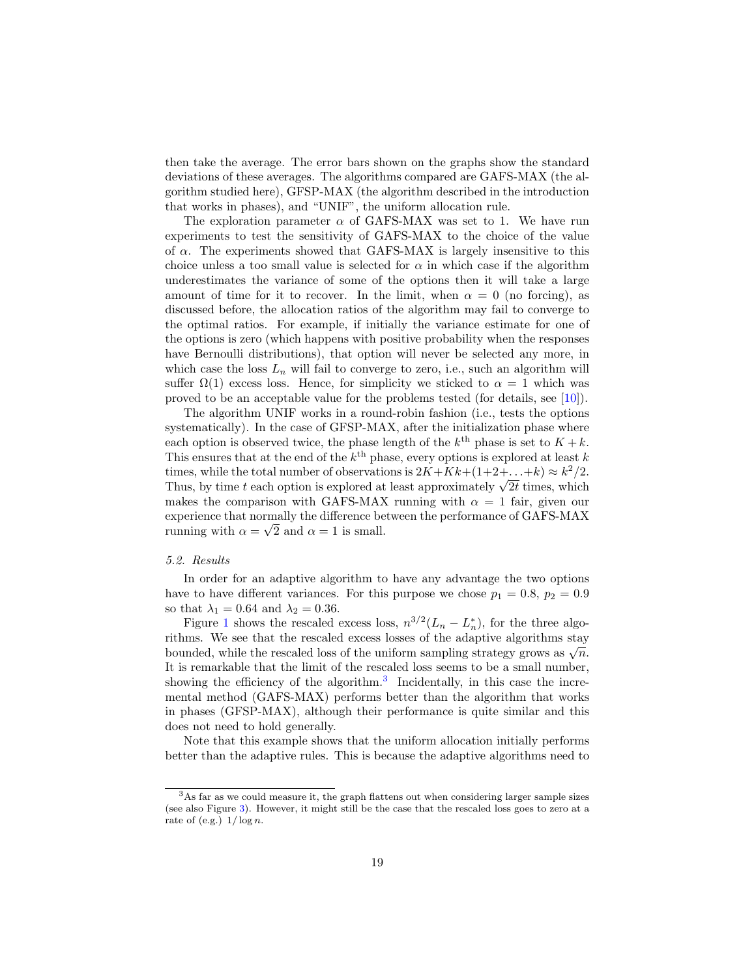then take the average. The error bars shown on the graphs show the standard deviations of these averages. The algorithms compared are GAFS-MAX (the algorithm studied here), GFSP-MAX (the algorithm described in the introduction that works in phases), and "UNIF", the uniform allocation rule.

The exploration parameter  $\alpha$  of GAFS-MAX was set to 1. We have run experiments to test the sensitivity of GAFS-MAX to the choice of the value of  $\alpha$ . The experiments showed that GAFS-MAX is largely insensitive to this choice unless a too small value is selected for  $\alpha$  in which case if the algorithm underestimates the variance of some of the options then it will take a large amount of time for it to recover. In the limit, when  $\alpha = 0$  (no forcing), as discussed before, the allocation ratios of the algorithm may fail to converge to the optimal ratios. For example, if initially the variance estimate for one of the options is zero (which happens with positive probability when the responses have Bernoulli distributions), that option will never be selected any more, in which case the loss  $L_n$  will fail to converge to zero, i.e., such an algorithm will suffer  $\Omega(1)$  excess loss. Hence, for simplicity we sticked to  $\alpha = 1$  which was proved to be an acceptable value for the problems tested (for details, see [\[10\]](#page-26-8)).

The algorithm UNIF works in a round-robin fashion (i.e., tests the options systematically). In the case of GFSP-MAX, after the initialization phase where each option is observed twice, the phase length of the  $k^{\text{th}}$  phase is set to  $K + k$ . This ensures that at the end of the  $k^{\text{th}}$  phase, every options is explored at least k times, while the total number of observations is  $2K + Kk + (1+2+\ldots+k) \approx k^2/2$ . times, while the total number of observations is  $2K + K \kappa + (1 + 2 + ... + \kappa) \approx \kappa^2/2$ .<br>Thus, by time t each option is explored at least approximately  $\sqrt{2t}$  times, which makes the comparison with GAFS-MAX running with  $\alpha = 1$  fair, given our experience that normally the difference between the performance of GAFS-MAX running with  $\alpha = \sqrt{2}$  and  $\alpha = 1$  is small.

#### 5.2. Results

In order for an adaptive algorithm to have any advantage the two options have to have different variances. For this purpose we chose  $p_1 = 0.8$ ,  $p_2 = 0.9$ so that  $\lambda_1 = 0.64$  and  $\lambda_2 = 0.36$ .

Figure [1](#page-19-0) shows the rescaled excess loss,  $n^{3/2}(L_n - L_n^*)$ , for the three algorithms. We see that the rescaled excess losses of the adaptive algorithms stay bounded, while the rescaled loss of the uniform sampling strategy grows as  $\sqrt{n}$ . It is remarkable that the limit of the rescaled loss seems to be a small number, showing the efficiency of the algorithm.<sup>[3](#page-18-0)</sup> Incidentally, in this case the incremental method (GAFS-MAX) performs better than the algorithm that works in phases (GFSP-MAX), although their performance is quite similar and this does not need to hold generally.

Note that this example shows that the uniform allocation initially performs better than the adaptive rules. This is because the adaptive algorithms need to

<span id="page-18-0"></span> $^3\mathrm{As}$  far as we could measure it, the graph flattens out when considering larger sample sizes (see also Figure [3\)](#page-20-1). However, it might still be the case that the rescaled loss goes to zero at a rate of (e.g.)  $1/\log n$ .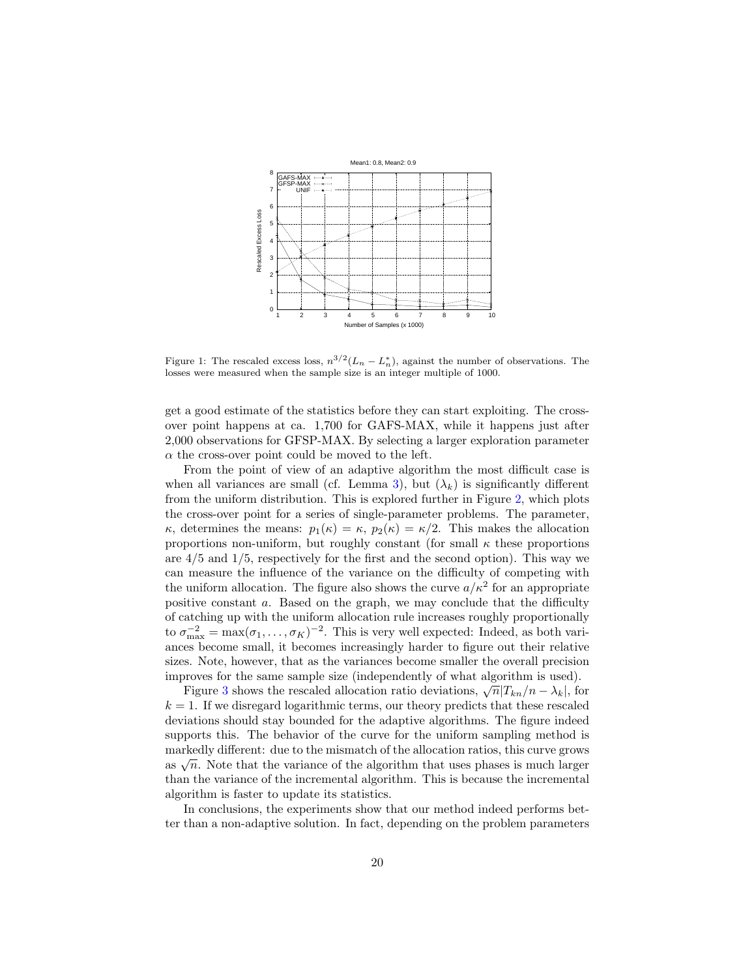

<span id="page-19-0"></span>Figure 1: The rescaled excess loss,  $n^{3/2}(L_n - L_n^*)$ , against the number of observations. The losses were measured when the sample size is an integer multiple of 1000.

get a good estimate of the statistics before they can start exploiting. The crossover point happens at ca. 1,700 for GAFS-MAX, while it happens just after 2,000 observations for GFSP-MAX. By selecting a larger exploration parameter  $\alpha$  the cross-over point could be moved to the left.

From the point of view of an adaptive algorithm the most difficult case is when all variances are small (cf. Lemma [3\)](#page-7-0), but  $(\lambda_k)$  is significantly different from the uniform distribution. This is explored further in Figure [2,](#page-20-2) which plots the cross-over point for a series of single-parameter problems. The parameter, κ, determines the means:  $p_1(\kappa) = \kappa$ ,  $p_2(\kappa) = \kappa/2$ . This makes the allocation proportions non-uniform, but roughly constant (for small  $\kappa$  these proportions are  $4/5$  and  $1/5$ , respectively for the first and the second option). This way we can measure the influence of the variance on the difficulty of competing with the uniform allocation. The figure also shows the curve  $a/\kappa^2$  for an appropriate positive constant a. Based on the graph, we may conclude that the difficulty of catching up with the uniform allocation rule increases roughly proportionally to  $\sigma_{\max}^{-2} = \max(\sigma_1, \ldots, \sigma_K)^{-2}$ . This is very well expected: Indeed, as both variances become small, it becomes increasingly harder to figure out their relative sizes. Note, however, that as the variances become smaller the overall precision improves for the same sample size (independently of what algorithm is used).

Figure [3](#page-20-1) shows the rescaled allocation ratio deviations,  $\sqrt{n}|T_{kn}/n - \lambda_k|$ , for  $k = 1$ . If we disregard logarithmic terms, our theory predicts that these rescaled deviations should stay bounded for the adaptive algorithms. The figure indeed supports this. The behavior of the curve for the uniform sampling method is markedly different: due to the mismatch of the allocation ratios, this curve grows markedly different. due to the inistiation of the algorithm that uses phases is much larger as  $\sqrt{n}$ . Note that the variance of the algorithm that uses phases is much larger than the variance of the incremental algorithm. This is because the incremental algorithm is faster to update its statistics.

In conclusions, the experiments show that our method indeed performs better than a non-adaptive solution. In fact, depending on the problem parameters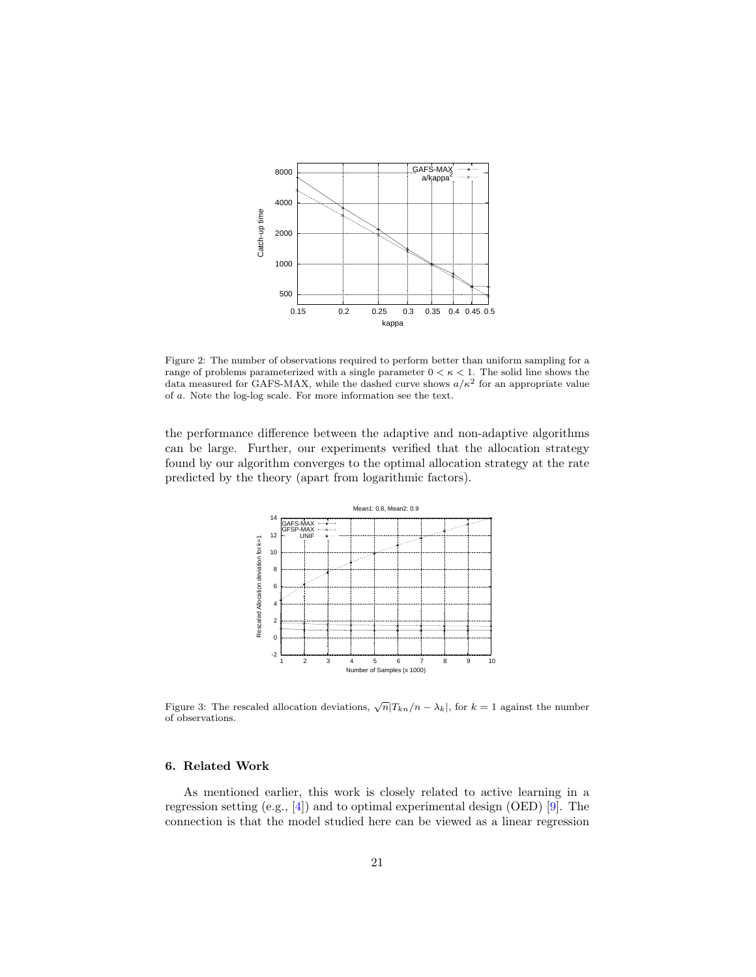

<span id="page-20-2"></span>Figure 2: The number of observations required to perform better than uniform sampling for a range of problems parameterized with a single parameter  $0 < \kappa < 1$ . The solid line shows the data measured for GAFS-MAX, while the dashed curve shows  $a/\kappa^2$  for an appropriate value of a. Note the log-log scale. For more information see the text.

the performance difference between the adaptive and non-adaptive algorithms can be large. Further, our experiments verified that the allocation strategy found by our algorithm converges to the optimal allocation strategy at the rate predicted by the theory (apart from logarithmic factors).



<span id="page-20-1"></span>Figure 3: The rescaled allocation deviations,  $\sqrt{n}|T_{kn}/n - \lambda_k|$ , for  $k = 1$  against the number of observations.

# <span id="page-20-0"></span>6. Related Work

As mentioned earlier, this work is closely related to active learning in a regression setting  $(e.g., [4])$  $(e.g., [4])$  $(e.g., [4])$  and to optimal experimental design  $(OED)$  [\[9\]](#page-26-1). The connection is that the model studied here can be viewed as a linear regression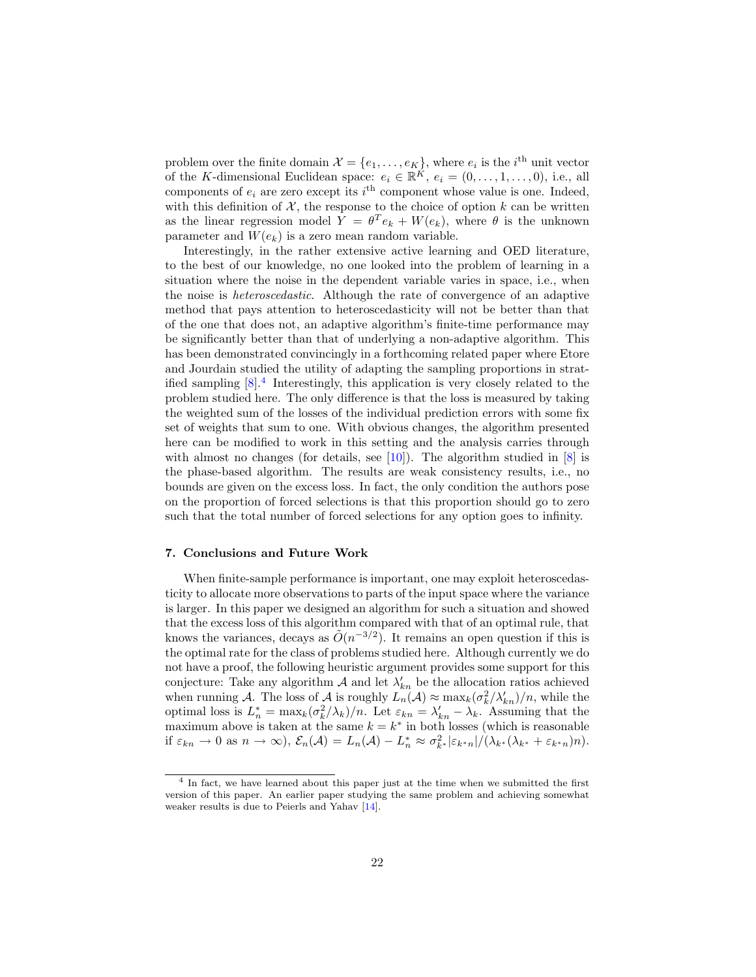problem over the finite domain  $\mathcal{X} = \{e_1, \ldots, e_K\}$ , where  $e_i$  is the *i*<sup>th</sup> unit vector of the K-dimensional Euclidean space:  $e_i \in \mathbb{R}^K$ ,  $e_i = (0, \ldots, 1, \ldots, 0)$ , i.e., all components of  $e_i$  are zero except its  $i^{\text{th}}$  component whose value is one. Indeed, with this definition of  $\mathcal{X}$ , the response to the choice of option k can be written as the linear regression model  $Y = \theta^T e_k + W(e_k)$ , where  $\theta$  is the unknown parameter and  $W(e_k)$  is a zero mean random variable.

Interestingly, in the rather extensive active learning and OED literature, to the best of our knowledge, no one looked into the problem of learning in a situation where the noise in the dependent variable varies in space, i.e., when the noise is heteroscedastic. Although the rate of convergence of an adaptive method that pays attention to heteroscedasticity will not be better than that of the one that does not, an adaptive algorithm's finite-time performance may be significantly better than that of underlying a non-adaptive algorithm. This has been demonstrated convincingly in a forthcoming related paper where Etore and Jourdain studied the utility of adapting the sampling proportions in stratified sampling  $[8]^4$  $[8]^4$  $[8]^4$  Interestingly, this application is very closely related to the problem studied here. The only difference is that the loss is measured by taking the weighted sum of the losses of the individual prediction errors with some fix set of weights that sum to one. With obvious changes, the algorithm presented here can be modified to work in this setting and the analysis carries through with almost no changes (for details, see  $[10]$ ). The algorithm studied in  $[8]$  is the phase-based algorithm. The results are weak consistency results, i.e., no bounds are given on the excess loss. In fact, the only condition the authors pose on the proportion of forced selections is that this proportion should go to zero such that the total number of forced selections for any option goes to infinity.

#### 7. Conclusions and Future Work

When finite-sample performance is important, one may exploit heteroscedasticity to allocate more observations to parts of the input space where the variance is larger. In this paper we designed an algorithm for such a situation and showed that the excess loss of this algorithm compared with that of an optimal rule, that knows the variances, decays as  $\tilde{O}(n^{-3/2})$ . It remains an open question if this is the optimal rate for the class of problems studied here. Although currently we do not have a proof, the following heuristic argument provides some support for this conjecture: Take any algorithm  $A$  and let  $\lambda'_{kn}$  be the allocation ratios achieved when running A. The loss of A is roughly  $L_n(\mathcal{A}) \approx \max_k(\sigma_k^2/\lambda_{kn}^{\prime})/n$ , while the optimal loss is  $L_n^* = \max_k(\sigma_k^2/\lambda_k)/n$ . Let  $\varepsilon_{kn} = \lambda'_{kn} - \lambda_k$ . Assuming that the maximum above is taken at the same  $k = k^*$  in both losses (which is reasonable if  $\varepsilon_{kn} \to 0$  as  $n \to \infty$ ),  $\mathcal{E}_n(\mathcal{A}) = L_n(\mathcal{A}) - L_n^* \approx \sigma_{k^*}^2 |\varepsilon_{k^*n}| / (\lambda_{k^*} (\lambda_{k^*} + \varepsilon_{k^*n}) n)$ .

<span id="page-21-0"></span><sup>&</sup>lt;sup>4</sup> In fact, we have learned about this paper just at the time when we submitted the first version of this paper. An earlier paper studying the same problem and achieving somewhat weaker results is due to Peierls and Yahav [\[14\]](#page-26-10).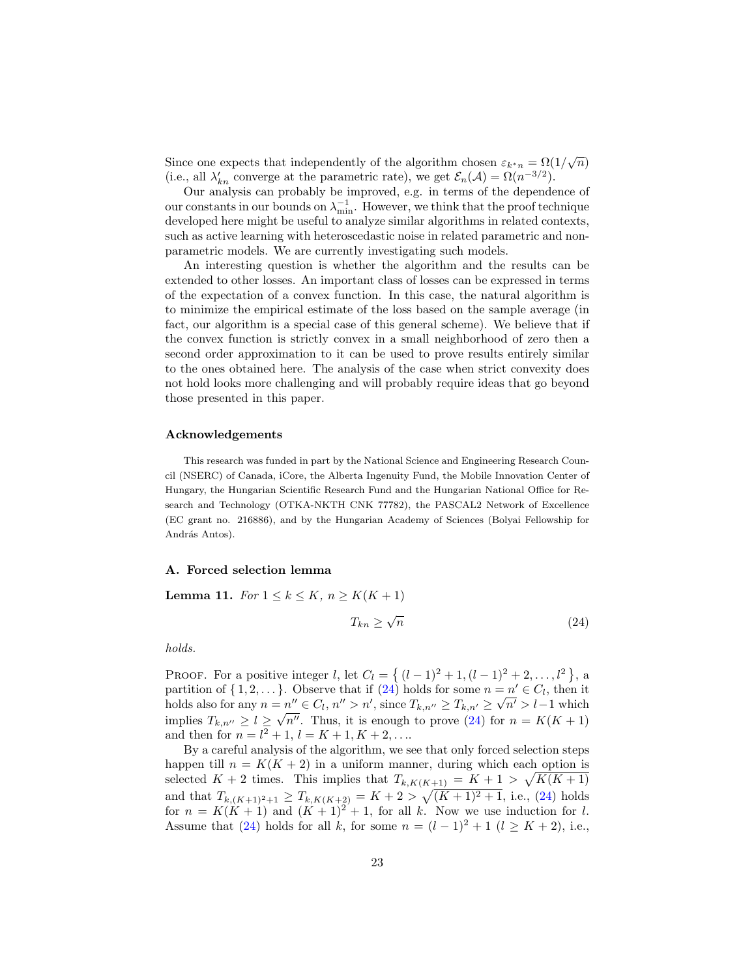Since one expects that independently of the algorithm chosen  $\varepsilon_{k^*n} = \Omega(1/\sqrt{n})$ (i.e., all  $\lambda'_{kn}$  converge at the parametric rate), we get  $\mathcal{E}_n(\mathcal{A}) = \Omega(n^{-3/2})$ .

Our analysis can probably be improved, e.g. in terms of the dependence of our constants in our bounds on  $\lambda_{\min}^{-1}$ . However, we think that the proof technique developed here might be useful to analyze similar algorithms in related contexts, such as active learning with heteroscedastic noise in related parametric and nonparametric models. We are currently investigating such models.

An interesting question is whether the algorithm and the results can be extended to other losses. An important class of losses can be expressed in terms of the expectation of a convex function. In this case, the natural algorithm is to minimize the empirical estimate of the loss based on the sample average (in fact, our algorithm is a special case of this general scheme). We believe that if the convex function is strictly convex in a small neighborhood of zero then a second order approximation to it can be used to prove results entirely similar to the ones obtained here. The analysis of the case when strict convexity does not hold looks more challenging and will probably require ideas that go beyond those presented in this paper.

# Acknowledgements

This research was funded in part by the National Science and Engineering Research Council (NSERC) of Canada, iCore, the Alberta Ingenuity Fund, the Mobile Innovation Center of Hungary, the Hungarian Scientific Research Fund and the Hungarian National Office for Research and Technology (OTKA-NKTH CNK 77782), the PASCAL2 Network of Excellence (EC grant no. 216886), and by the Hungarian Academy of Sciences (Bolyai Fellowship for András Antos).

## <span id="page-22-0"></span>A. Forced selection lemma

<span id="page-22-1"></span>Lemma 11. For  $1 \leq k \leq K$ ,  $n \geq K(K+1)$ 

<span id="page-22-2"></span>
$$
T_{kn} \ge \sqrt{n} \tag{24}
$$

holds.

PROOF. For a positive integer *l*, let  $C_l = \{ (l-1)^2 + 1, (l-1)^2 + 2, ..., l^2 \}$ , a partition of  $\{1, 2, \ldots\}$ . Observe that if  $(24)$  holds for some  $n = n' \in C_l$ , then it holds also for any  $n = n'' \in C_l$ ,  $n'' > n'$ , since  $T_{k,n''} \ge T_{k,n'} \ge \sqrt{n'} > l-1$  which implies  $T_{k,n''} \geq l \geq \sqrt{n''}$ . Thus, it is enough to prove [\(24\)](#page-22-2) for  $n = K(K+1)$ and then for  $n = l^2 + 1$ ,  $l = K + 1$ ,  $K + 2$ , ...

By a careful analysis of the algorithm, we see that only forced selection steps happen till  $n = K(K + 2)$  in a uniform manner, during which each option is selected  $K + 2$  times. This implies that  $T_{k,K(K+1)} = K + 1 > \sqrt{K(K+1)}$ and that  $T_{k,(K+1)^2+1} \geq T_{k,K(K+2)} = K + 2 > \sqrt{(K+1)^2+1}$ , i.e., [\(24\)](#page-22-2) holds for  $n = K(K + 1)$  and  $(K + 1)^2 + 1$ , for all k. Now we use induction for l. Assume that [\(24\)](#page-22-2) holds for all k, for some  $n = (l-1)^2 + 1$   $(l \geq K + 2)$ , i.e.,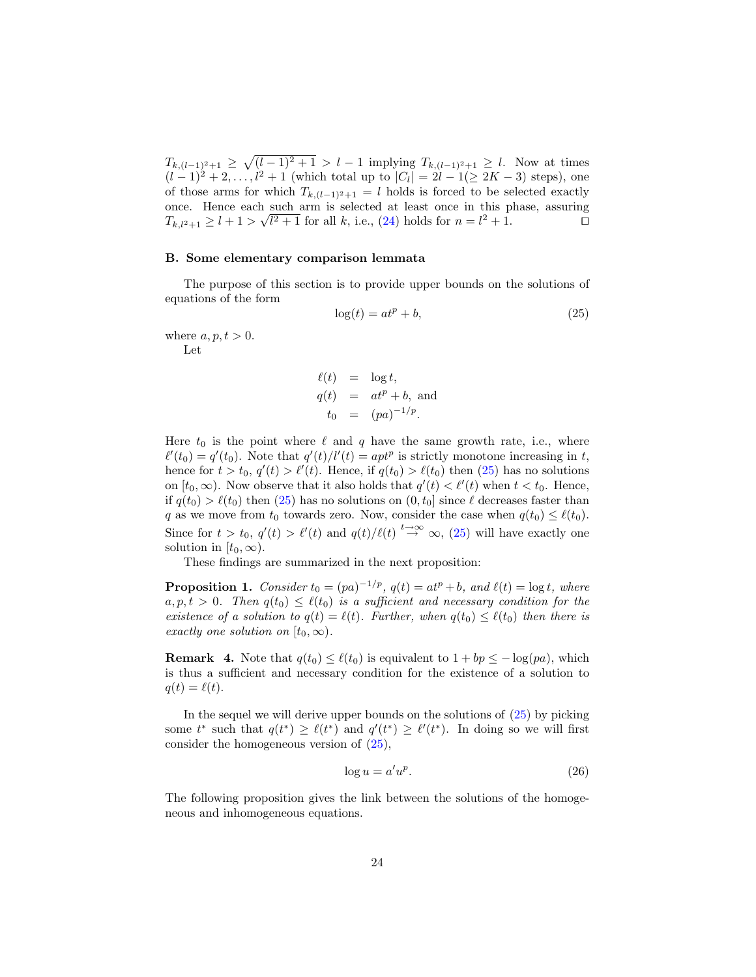$T_{k,(l-1)^2+1} \geq \sqrt{(l-1)^2+1} > l-1$  implying  $T_{k,(l-1)^2+1} \geq l$ . Now at times  $(l-1)^2 + 2, \ldots, l^2 + 1$  (which total up to  $|C_l| = 2l - 1(\geq 2K - 3)$  steps), one of those arms for which  $T_{k,(l-1)^2+1} = l$  holds is forced to be selected exactly once. Hence each such arm is selected at least once in this phase, assuring  $T_{k,l^2+1} \geq l+1 > \sqrt{l^2+1}$  for all k, i.e., [\(24\)](#page-22-2) holds for  $n = l^2+1$ .

# <span id="page-23-0"></span>B. Some elementary comparison lemmata

The purpose of this section is to provide upper bounds on the solutions of equations of the form

<span id="page-23-1"></span>
$$
\log(t) = at^p + b,\tag{25}
$$

where  $a, p, t > 0$ .

Let

$$
\ell(t) = \log t,
$$
  
\n
$$
q(t) = at^p + b, \text{ and}
$$
  
\n
$$
t_0 = (pa)^{-1/p}.
$$

Here  $t_0$  is the point where  $\ell$  and  $q$  have the same growth rate, i.e., where  $\ell'(t_0) = q'(t_0)$ . Note that  $q'(t)/l'(t) = apt^p$  is strictly monotone increasing in t, hence for  $t > t_0$ ,  $q'(t) > \ell'(t)$ . Hence, if  $q(t_0) > \ell(t_0)$  then [\(25\)](#page-23-1) has no solutions on  $[t_0, \infty)$ . Now observe that it also holds that  $q'(t) < \ell'(t)$  when  $t < t_0$ . Hence, if  $q(t_0) > \ell(t_0)$  then [\(25\)](#page-23-1) has no solutions on  $(0, t_0]$  since  $\ell$  decreases faster than q as we move from  $t_0$  towards zero. Now, consider the case when  $q(t_0) \leq \ell(t_0)$ . Since for  $t > t_0$ ,  $q'(t) > \ell'(t)$  and  $q(t)/\ell(t) \stackrel{t \to \infty}{\to} \infty$ , [\(25\)](#page-23-1) will have exactly one solution in  $[t_0, \infty)$ .

These findings are summarized in the next proposition:

**Proposition 1.** Consider  $t_0 = (pa)^{-1/p}$ ,  $q(t) = at^p + b$ , and  $\ell(t) = \log t$ , where  $a, p, t > 0$ . Then  $q(t_0) \leq \ell(t_0)$  is a sufficient and necessary condition for the existence of a solution to  $q(t) = \ell(t)$ . Further, when  $q(t_0) \leq \ell(t_0)$  then there is exactly one solution on  $[t_0, \infty)$ .

<span id="page-23-3"></span>**Remark 4.** Note that  $q(t_0) \leq \ell(t_0)$  is equivalent to  $1 + bp \leq -\log(pa)$ , which is thus a sufficient and necessary condition for the existence of a solution to  $q(t) = \ell(t).$ 

In the sequel we will derive upper bounds on the solutions of  $(25)$  by picking some  $t^*$  such that  $q(t^*) \geq \ell(t^*)$  and  $q'(t^*) \geq \ell'(t^*)$ . In doing so we will first consider the homogeneous version of [\(25\)](#page-23-1),

<span id="page-23-4"></span><span id="page-23-2"></span>
$$
\log u = a' u^p. \tag{26}
$$

The following proposition gives the link between the solutions of the homogeneous and inhomogeneous equations.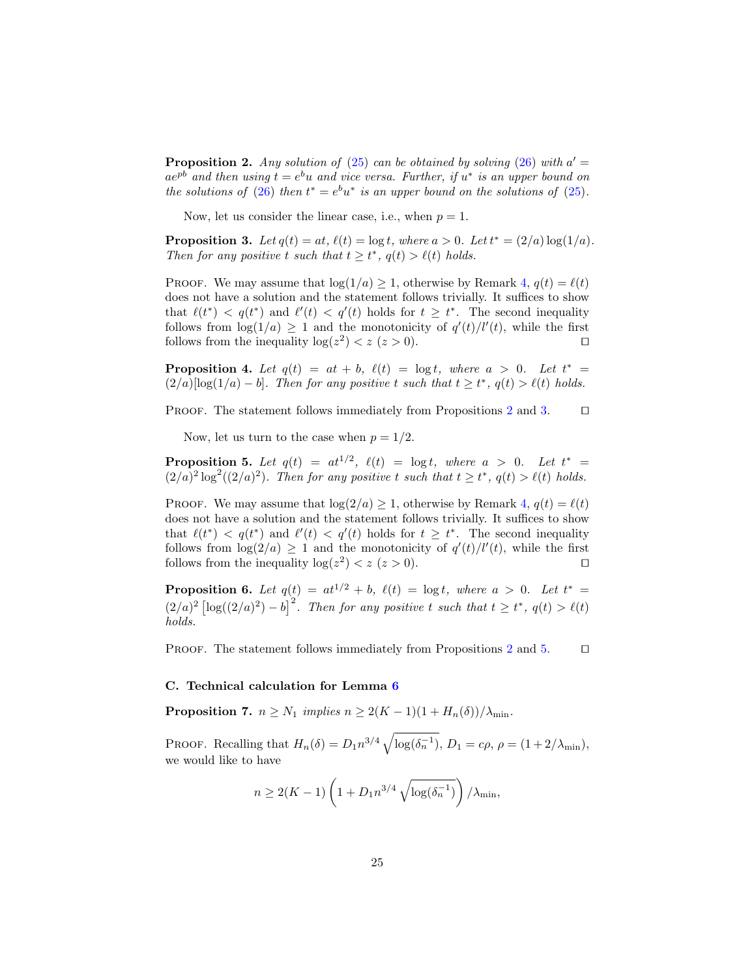**Proposition 2.** Any solution of [\(25\)](#page-23-1) can be obtained by solving [\(26\)](#page-23-2) with  $a' =$  $ae^{pb}$  and then using  $t = e^{b}u$  and vice versa. Further, if  $u^*$  is an upper bound on the solutions of [\(26\)](#page-23-2) then  $t^* = e^b u^*$  is an upper bound on the solutions of [\(25\)](#page-23-1).

<span id="page-24-4"></span>Now, let us consider the linear case, i.e., when  $p = 1$ .

**Proposition 3.** Let  $q(t) = at$ ,  $\ell(t) = \log t$ , where  $a > 0$ . Let  $t^* = (2/a) \log(1/a)$ . Then for any positive t such that  $t \geq t^*$ ,  $q(t) > \ell(t)$  holds.

PROOF. We may assume that  $log(1/a) \geq 1$ , otherwise by Remark [4,](#page-23-3)  $q(t) = \ell(t)$ does not have a solution and the statement follows trivially. It suffices to show that  $\ell(t^*) < q(t^*)$  and  $\ell'(t) < q'(t)$  holds for  $t \geq t^*$ . The second inequality follows from  $\log(1/a) \geq 1$  and the monotonicity of  $q'(t)/l'(t)$ , while the first follows from the inequality  $\log(z^2) < z \ (z > 0)$ .

<span id="page-24-3"></span>**Proposition 4.** Let  $q(t) = at + b$ ,  $\ell(t) = \log t$ , where  $a > 0$ . Let  $t^* =$  $(2/a)[\log(1/a) - b]$ . Then for any positive t such that  $t \geq t^*$ ,  $q(t) > \ell(t)$  holds.

PROOF. The statement follows immediately from Propositions [2](#page-23-4) and [3.](#page-24-4)  $\Box$ 

<span id="page-24-5"></span>Now, let us turn to the case when  $p = 1/2$ .

**Proposition 5.** Let  $q(t) = at^{1/2}$ ,  $\ell(t) = \log t$ , where  $a > 0$ . Let  $t^* =$  $(2/a)^2 \log^2((2/a)^2)$ . Then for any positive t such that  $t \ge t^*$ ,  $q(t) > \ell(t)$  holds.

PROOF. We may assume that  $log(2/a) \geq 1$ , otherwise by Remark [4,](#page-23-3)  $q(t) = \ell(t)$ does not have a solution and the statement follows trivially. It suffices to show that  $\ell(t^*) < q(t^*)$  and  $\ell'(t) < q'(t)$  holds for  $t \geq t^*$ . The second inequality follows from  $\log(2/a) \geq 1$  and the monotonicity of  $q'(t)/l'(t)$ , while the first follows from the inequality  $\log(z^2) < z \ (z > 0)$ .

<span id="page-24-0"></span>**Proposition 6.** Let  $q(t) = at^{1/2} + b$ ,  $\ell(t) = \log t$ , where  $a > 0$ . Let  $t^* =$  $(2/a)^2 \left[ \log((2/a)^2) - b \right]^2$ . Then for any positive t such that  $t \geq t^*$ ,  $q(t) > \ell(t)$ holds.

PROOF. The statement follows immediately from Propositions [2](#page-23-4) and [5.](#page-24-5)  $\Box$ 

### <span id="page-24-2"></span>C. Technical calculation for Lemma [6](#page-12-0)

<span id="page-24-1"></span>**Proposition 7.**  $n \geq N_1$  implies  $n \geq 2(K-1)(1 + H_n(\delta))/\lambda_{\min}$ .

PROOF. Recalling that  $H_n(\delta) = D_1 n^{3/4} \sqrt{\log(\delta_n^{-1})}$ ,  $D_1 = c\rho$ ,  $\rho = (1 + 2/\lambda_{\min})$ , we would like to have

$$
n \ge 2(K-1)\left(1 + D_1 n^{3/4} \sqrt{\log(\delta_n^{-1})}\right) / \lambda_{\min},
$$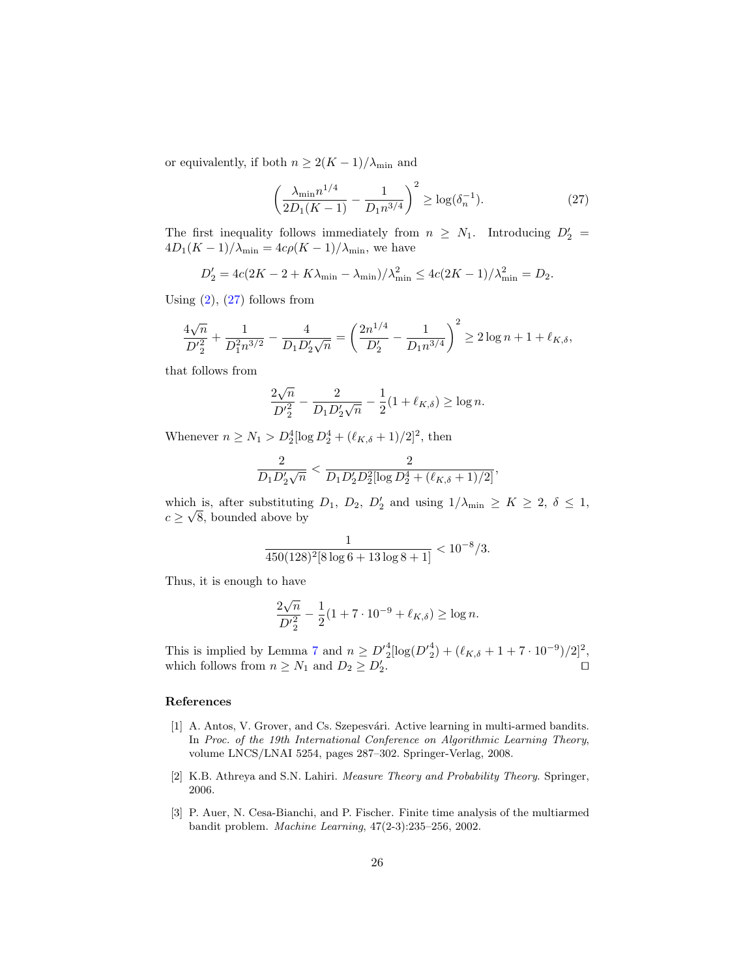or equivalently, if both  $n \geq 2(K-1)/\lambda_{\min}$  and

<span id="page-25-3"></span>
$$
\left(\frac{\lambda_{\min} n^{1/4}}{2D_1(K-1)} - \frac{1}{D_1 n^{3/4}}\right)^2 \ge \log(\delta_n^{-1}).\tag{27}
$$

The first inequality follows immediately from  $n \geq N_1$ . Introducing  $D'_2 =$  $4D_1(K-1)/\lambda_{\min} = 4c\rho(K-1)/\lambda_{\min}$ , we have

$$
D'_{2} = 4c(2K - 2 + K\lambda_{\min} - \lambda_{\min})/\lambda_{\min}^{2} \le 4c(2K - 1)/\lambda_{\min}^{2} = D_{2}.
$$

Using  $(2)$ ,  $(27)$  follows from

$$
\frac{4\sqrt{n}}{D'^2_2} + \frac{1}{D^2_1 n^{3/2}} - \frac{4}{D_1 D'_2 \sqrt{n}} = \left(\frac{2n^{1/4}}{D'_2} - \frac{1}{D_1 n^{3/4}}\right)^2 \ge 2\log n + 1 + \ell_{K, \delta},
$$

that follows from

$$
\frac{2\sqrt{n}}{D_2'^2} - \frac{2}{D_1 D_2' \sqrt{n}} - \frac{1}{2} (1 + \ell_{K, \delta}) \ge \log n.
$$

Whenever  $n \ge N_1 > D_2^4 [\log D_2^4 + (\ell_{K,\delta} + 1)/2]^2$ , then

$$
\frac{2}{D_1 D_2' \sqrt{n}} < \frac{2}{D_1 D_2' D_2^2 [\log D_2^4 + (\ell_{K,\delta} + 1)/2]},
$$

which is, after substituting  $D_1$ ,  $D_2$ ,  $D'_2$  and using  $1/\lambda_{\min} \ge K \ge 2$ ,  $\delta \le 1$ ,  $c \geq \sqrt{8}$ , bounded above by

$$
\frac{1}{450(128)^2[8\log 6+13\log 8+1]}<10^{-8}/3.
$$

Thus, it is enough to have

$$
\frac{2\sqrt{n}}{D'^2} - \frac{1}{2}(1 + 7 \cdot 10^{-9} + \ell_{K,\delta}) \ge \log n.
$$

This is implied by Lemma [7](#page-13-1) and  $n \ge D'^{4}_{2}[\log(D'^{4}_{2}) + (\ell_{K,\delta} + 1 + 7 \cdot 10^{-9})/2]^{2}$ , which follows from  $n \geq N_1$  and  $D_2 \geq D'_2$ .

#### References

- <span id="page-25-0"></span>[1] A. Antos, V. Grover, and Cs. Szepesvári. Active learning in multi-armed bandits. In Proc. of the 19th International Conference on Algorithmic Learning Theory, volume LNCS/LNAI 5254, pages 287–302. Springer-Verlag, 2008.
- <span id="page-25-2"></span>[2] K.B. Athreya and S.N. Lahiri. Measure Theory and Probability Theory. Springer, 2006.
- <span id="page-25-1"></span>[3] P. Auer, N. Cesa-Bianchi, and P. Fischer. Finite time analysis of the multiarmed bandit problem. Machine Learning, 47(2-3):235–256, 2002.